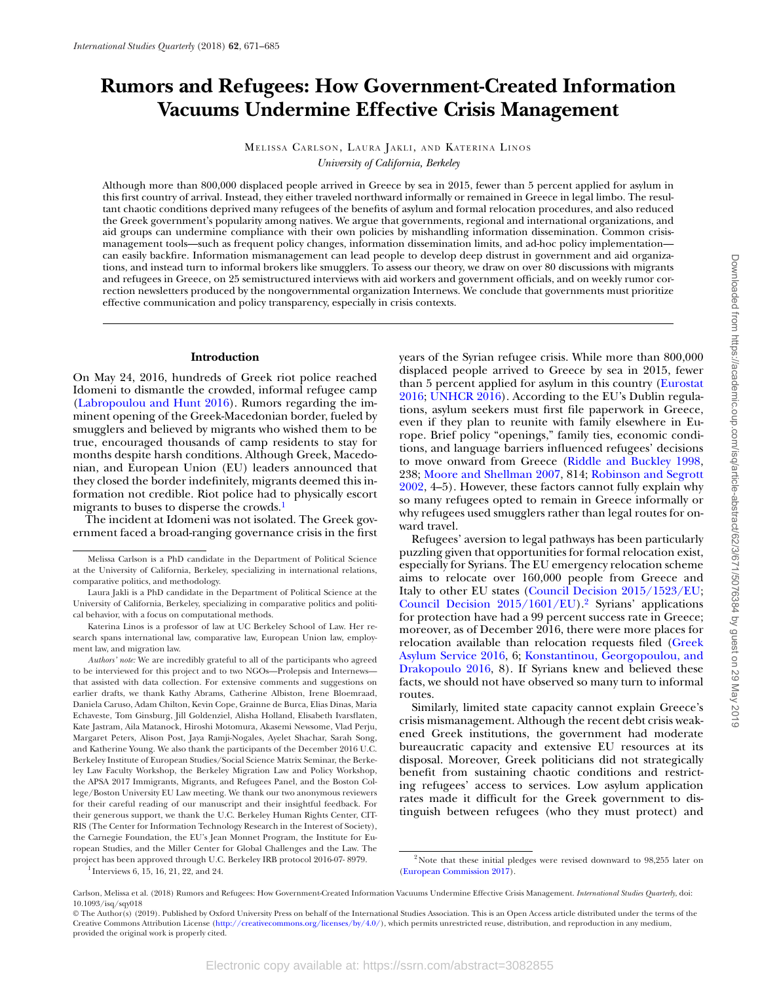# **Rumors and Refugees: How Government-Created Information Vacuums Undermine Effective Crisis Management**

MELISSA CARLSON, LAURA JAKLI, AND KATERINA LINOS

*University of California, Berkeley*

Although more than 800,000 displaced people arrived in Greece by sea in 2015, fewer than 5 percent applied for asylum in this first country of arrival. Instead, they either traveled northward informally or remained in Greece in legal limbo. The resultant chaotic conditions deprived many refugees of the benefits of asylum and formal relocation procedures, and also reduced the Greek government's popularity among natives. We argue that governments, regional and international organizations, and aid groups can undermine compliance with their own policies by mishandling information dissemination. Common crisismanagement tools—such as frequent policy changes, information dissemination limits, and ad-hoc policy implementation can easily backfire. Information mismanagement can lead people to develop deep distrust in government and aid organizations, and instead turn to informal brokers like smugglers. To assess our theory, we draw on over 80 discussions with migrants and refugees in Greece, on 25 semistructured interviews with aid workers and government officials, and on weekly rumor correction newsletters produced by the nongovernmental organization Internews. We conclude that governments must prioritize effective communication and policy transparency, especially in crisis contexts.

## **Introduction**

On May 24, 2016, hundreds of Greek riot police reached Idomeni to dismantle the crowded, informal refugee camp [\(Labropoulou and Hunt 2016\)](#page-13-0). Rumors regarding the imminent opening of the Greek-Macedonian border, fueled by smugglers and believed by migrants who wished them to be true, encouraged thousands of camp residents to stay for months despite harsh conditions. Although Greek, Macedonian, and European Union (EU) leaders announced that they closed the border indefinitely, migrants deemed this information not credible. Riot police had to physically escort migrants to buses to disperse the crowds.<sup>1</sup>

The incident at Idomeni was not isolated. The Greek government faced a broad-ranging governance crisis in the first

*Authors' note:* We are incredibly grateful to all of the participants who agreed to be interviewed for this project and to two NGOs—Prolepsis and Internews that assisted with data collection. For extensive comments and suggestions on earlier drafts, we thank Kathy Abrams, Catherine Albiston, Irene Bloemraad, Daniela Caruso, Adam Chilton, Kevin Cope, Grainne de Burca, Elias Dinas, Maria Echaveste, Tom Ginsburg, Jill Goldenziel, Alisha Holland, Elisabeth Ivarsflaten, Kate Jastram, Aila Matanock, Hiroshi Motomura, Akasemi Newsome, Vlad Perju, Margaret Peters, Alison Post, Jaya Ramji-Nogales, Ayelet Shachar, Sarah Song, and Katherine Young. We also thank the participants of the December 2016 U.C. Berkeley Institute of European Studies/Social Science Matrix Seminar, the Berkeley Law Faculty Workshop, the Berkeley Migration Law and Policy Workshop, the APSA 2017 Immigrants, Migrants, and Refugees Panel, and the Boston College/Boston University EU Law meeting. We thank our two anonymous reviewers for their careful reading of our manuscript and their insightful feedback. For their generous support, we thank the U.C. Berkeley Human Rights Center, CIT-RIS (The Center for Information Technology Research in the Interest of Society), the Carnegie Foundation, the EU's Jean Monnet Program, the Institute for European Studies, and the Miller Center for Global Challenges and the Law. The project has been approved through U.C. Berkeley IRB protocol 2016-07- 8979. <sup>1</sup> Interviews 6, 15, 16, 21, 22, and 24.

years of the Syrian refugee crisis. While more than 800,000 displaced people arrived to Greece by sea in 2015, fewer [than 5 percent applied for asylum in this country \(Eurostat](#page-12-0) 2016; [UNHCR 2016\)](#page-14-0). According to the EU's Dublin regulations, asylum seekers must first file paperwork in Greece, even if they plan to reunite with family elsewhere in Europe. Brief policy "openings," family ties, economic conditions, and language barriers influenced refugees' decisions to move onward from Greece [\(Riddle and Buckley 1998,](#page-13-1) 238; [Moore and Shellman 2007,](#page-13-2) 814; Robinson and Segrott [2002, 4–5\). However, these factors cannot fully explain why](#page-13-3) so many refugees opted to remain in Greece informally or why refugees used smugglers rather than legal routes for onward travel.

Refugees' aversion to legal pathways has been particularly puzzling given that opportunities for formal relocation exist, especially for Syrians. The EU emergency relocation scheme aims to relocate over 160,000 people from Greece and Italy to other EU states [\(Council Decision 2015/1523/EU;](#page-12-1) Council Decision  $2015/1601/EU$ .<sup>2</sup> Syrians' applications for protection have had a 99 percent success rate in Greece; moreover, as of December 2016, there were more places for [relocation available than relocation requests filed \(Greek](#page-13-4) Asylum Service 2016, 6; Konstantinou, Georgopoulou, and [Drakopoulo 2016, 8\). If Syrians knew and believed these](#page-13-5) facts, we should not have observed so many turn to informal routes.

Similarly, limited state capacity cannot explain Greece's crisis mismanagement. Although the recent debt crisis weakened Greek institutions, the government had moderate bureaucratic capacity and extensive EU resources at its disposal. Moreover, Greek politicians did not strategically benefit from sustaining chaotic conditions and restricting refugees' access to services. Low asylum application rates made it difficult for the Greek government to distinguish between refugees (who they must protect) and

Melissa Carlson is a PhD candidate in the Department of Political Science at the University of California, Berkeley, specializing in international relations, comparative politics, and methodology.

Laura Jakli is a PhD candidate in the Department of Political Science at the University of California, Berkeley, specializing in comparative politics and political behavior, with a focus on computational methods.

Katerina Linos is a professor of law at UC Berkeley School of Law. Her research spans international law, comparative law, European Union law, employment law, and migration law.

<span id="page-0-1"></span> $2$ Note that these initial pledges were revised downward to  $98,255$  later on [\(European Commission 2017\)](#page-12-3).

<span id="page-0-0"></span>Carlson, Melissa et al. (2018) Rumors and Refugees: How Government-Created Information Vacuums Undermine Effective Crisis Management. *International Studies Quarterly*, doi: 10.1093/isq/sqy018

<sup>©</sup> The Author(s) (2019). Published by Oxford University Press on behalf of the International Studies Association. This is an Open Access article distributed under the terms of the Creative Commons Attribution License [\(http://creativecommons.org/licenses/by/4.0/\)](http://creativecommons.org/licenses/by/4.0/), which permits unrestricted reuse, distribution, and reproduction in any medium, provided the original work is properly cited.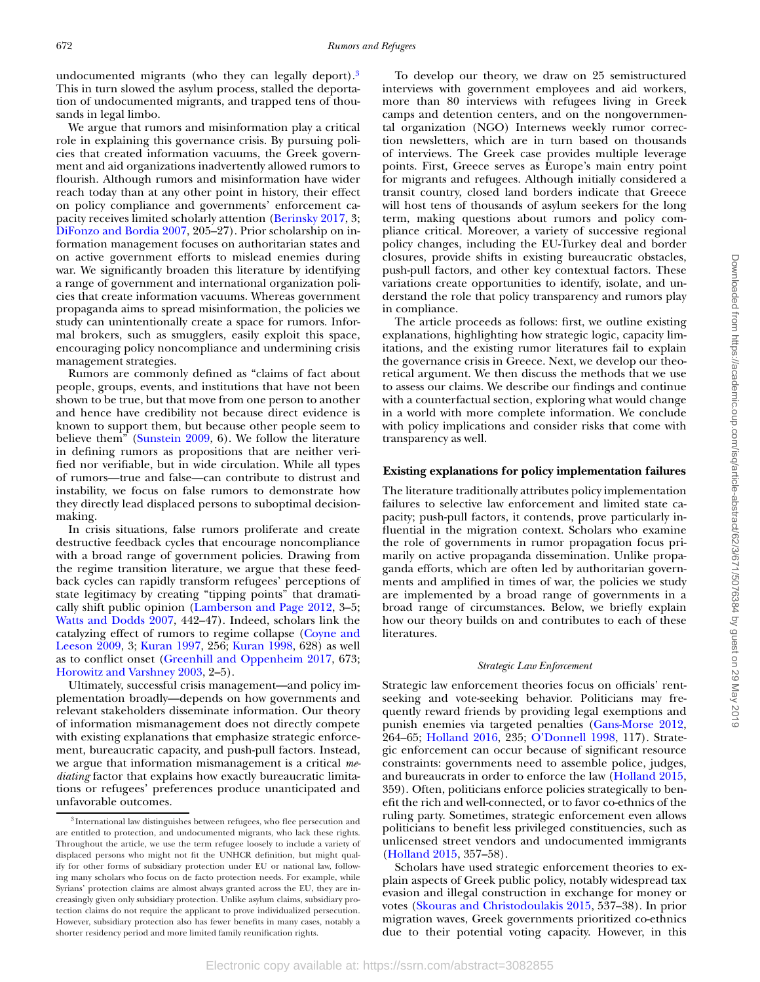undocumented migrants (who they can legally deport). $3$ This in turn slowed the asylum process, stalled the deportation of undocumented migrants, and trapped tens of thousands in legal limbo.

We argue that rumors and misinformation play a critical role in explaining this governance crisis. By pursuing policies that created information vacuums, the Greek government and aid organizations inadvertently allowed rumors to flourish. Although rumors and misinformation have wider reach today than at any other point in history, their effect on policy compliance and governments' enforcement capacity receives limited scholarly attention [\(Berinsky 2017,](#page-12-4) 3; [DiFonzo and Bordia 2007,](#page-12-5) 205–27). Prior scholarship on information management focuses on authoritarian states and on active government efforts to mislead enemies during war. We significantly broaden this literature by identifying a range of government and international organization policies that create information vacuums. Whereas government propaganda aims to spread misinformation, the policies we study can unintentionally create a space for rumors. Informal brokers, such as smugglers, easily exploit this space, encouraging policy noncompliance and undermining crisis management strategies.

Rumors are commonly defined as "claims of fact about people, groups, events, and institutions that have not been shown to be true, but that move from one person to another and hence have credibility not because direct evidence is known to support them, but because other people seem to believe them" [\(Sunstein 2009,](#page-14-1) 6). We follow the literature in defining rumors as propositions that are neither verified nor verifiable, but in wide circulation. While all types of rumors—true and false—can contribute to distrust and instability, we focus on false rumors to demonstrate how they directly lead displaced persons to suboptimal decisionmaking.

In crisis situations, false rumors proliferate and create destructive feedback cycles that encourage noncompliance with a broad range of government policies. Drawing from the regime transition literature, we argue that these feedback cycles can rapidly transform refugees' perceptions of state legitimacy by creating "tipping points" that dramatically shift public opinion [\(Lamberson and Page 2012,](#page-13-6) 3–5; [Watts and Dodds 2007,](#page-14-2) 442–47). Indeed, scholars link the [catalyzing effect of rumors to regime collapse \(Coyne and](#page-12-6) Leeson 2009, 3; [Kuran 1997,](#page-13-7) 256; [Kuran 1998,](#page-13-8) 628) as well as to conflict onset [\(Greenhill and Oppenheim 2017,](#page-13-9) 673; [Horowitz and Varshney 2003,](#page-13-10) 2–5).

Ultimately, successful crisis management—and policy implementation broadly—depends on how governments and relevant stakeholders disseminate information. Our theory of information mismanagement does not directly compete with existing explanations that emphasize strategic enforcement, bureaucratic capacity, and push-pull factors. Instead, we argue that information mismanagement is a critical *mediating* factor that explains how exactly bureaucratic limitations or refugees' preferences produce unanticipated and unfavorable outcomes.

To develop our theory, we draw on 25 semistructured interviews with government employees and aid workers, more than 80 interviews with refugees living in Greek camps and detention centers, and on the nongovernmental organization (NGO) Internews weekly rumor correction newsletters, which are in turn based on thousands of interviews. The Greek case provides multiple leverage points. First, Greece serves as Europe's main entry point for migrants and refugees. Although initially considered a transit country, closed land borders indicate that Greece will host tens of thousands of asylum seekers for the long term, making questions about rumors and policy compliance critical. Moreover, a variety of successive regional policy changes, including the EU-Turkey deal and border closures, provide shifts in existing bureaucratic obstacles, push-pull factors, and other key contextual factors. These variations create opportunities to identify, isolate, and understand the role that policy transparency and rumors play in compliance.

The article proceeds as follows: first, we outline existing explanations, highlighting how strategic logic, capacity limitations, and the existing rumor literatures fail to explain the governance crisis in Greece. Next, we develop our theoretical argument. We then discuss the methods that we use to assess our claims. We describe our findings and continue with a counterfactual section, exploring what would change in a world with more complete information. We conclude with policy implications and consider risks that come with transparency as well.

# **Existing explanations for policy implementation failures**

The literature traditionally attributes policy implementation failures to selective law enforcement and limited state capacity; push-pull factors, it contends, prove particularly influential in the migration context. Scholars who examine the role of governments in rumor propagation focus primarily on active propaganda dissemination. Unlike propaganda efforts, which are often led by authoritarian governments and amplified in times of war, the policies we study are implemented by a broad range of governments in a broad range of circumstances. Below, we briefly explain how our theory builds on and contributes to each of these literatures.

#### *Strategic Law Enforcement*

Strategic law enforcement theories focus on officials' rentseeking and vote-seeking behavior. Politicians may frequently reward friends by providing legal exemptions and punish enemies via targeted penalties [\(Gans-Morse 2012,](#page-12-7) 264–65; [Holland 2016,](#page-13-11) 235; [O'Donnell 1998,](#page-13-12) 117). Strategic enforcement can occur because of significant resource constraints: governments need to assemble police, judges, and bureaucrats in order to enforce the law [\(Holland 2015,](#page-13-13) 359). Often, politicians enforce policies strategically to benefit the rich and well-connected, or to favor co-ethnics of the ruling party. Sometimes, strategic enforcement even allows politicians to benefit less privileged constituencies, such as unlicensed street vendors and undocumented immigrants [\(Holland 2015,](#page-13-13) 357–58).

Scholars have used strategic enforcement theories to explain aspects of Greek public policy, notably widespread tax evasion and illegal construction in exchange for money or votes [\(Skouras and Christodoulakis 2015,](#page-14-3) 537–38). In prior migration waves, Greek governments prioritized co-ethnics due to their potential voting capacity. However, in this

<span id="page-1-0"></span> $3$ International law distinguishes between refugees, who flee persecution and are entitled to protection, and undocumented migrants, who lack these rights. Throughout the article, we use the term refugee loosely to include a variety of displaced persons who might not fit the UNHCR definition, but might qualify for other forms of subsidiary protection under EU or national law, following many scholars who focus on de facto protection needs. For example, while Syrians' protection claims are almost always granted across the EU, they are increasingly given only subsidiary protection. Unlike asylum claims, subsidiary protection claims do not require the applicant to prove individualized persecution. However, subsidiary protection also has fewer benefits in many cases, notably a shorter residency period and more limited family reunification rights.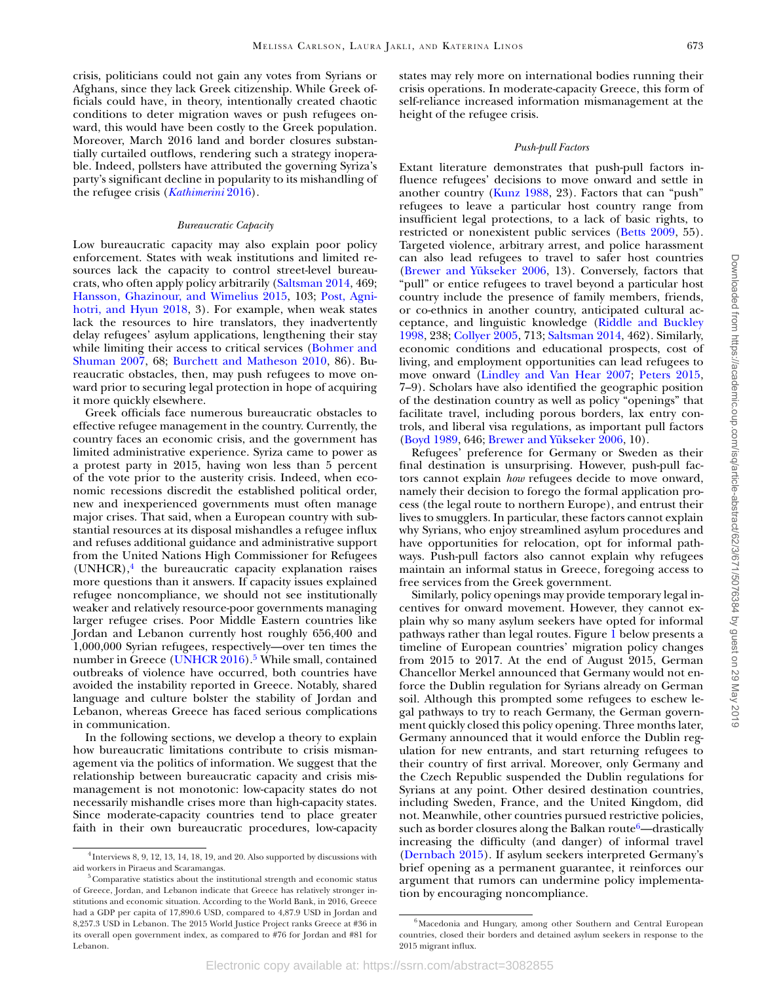crisis, politicians could not gain any votes from Syrians or Afghans, since they lack Greek citizenship. While Greek officials could have, in theory, intentionally created chaotic conditions to deter migration waves or push refugees onward, this would have been costly to the Greek population. Moreover, March 2016 land and border closures substantially curtailed outflows, rendering such a strategy inoperable. Indeed, pollsters have attributed the governing Syriza's party's significant decline in popularity to its mishandling of the refugee crisis (*[Kathimerini](#page-13-14)* 2016).

## *Bureaucratic Capacity*

Low bureaucratic capacity may also explain poor policy enforcement. States with weak institutions and limited resources lack the capacity to control street-level bureaucrats, who often apply policy arbitrarily [\(Saltsman 2014,](#page-13-15) 469; [Hansson, Ghazinour, and Wimelius 2015,](#page-13-16) 103; Post, Agni[hotri, and Hyun 2018, 3\). For example, when weak states](#page-13-17) lack the resources to hire translators, they inadvertently delay refugees' asylum applications, lengthening their stay [while limiting their access to critical services \(Bohmer and](#page-12-8) Shuman 2007, 68; [Burchett and Matheson 2010,](#page-12-9) 86). Bureaucratic obstacles, then, may push refugees to move onward prior to securing legal protection in hope of acquiring it more quickly elsewhere.

Greek officials face numerous bureaucratic obstacles to effective refugee management in the country. Currently, the country faces an economic crisis, and the government has limited administrative experience. Syriza came to power as a protest party in 2015, having won less than 5 percent of the vote prior to the austerity crisis. Indeed, when economic recessions discredit the established political order, new and inexperienced governments must often manage major crises. That said, when a European country with substantial resources at its disposal mishandles a refugee influx and refuses additional guidance and administrative support from the United Nations High Commissioner for Refugees  $(UNHCR),<sup>4</sup>$  the bureaucratic capacity explanation raises more questions than it answers. If capacity issues explained refugee noncompliance, we should not see institutionally weaker and relatively resource-poor governments managing larger refugee crises. Poor Middle Eastern countries like Jordan and Lebanon currently host roughly 656,400 and 1,000,000 Syrian refugees, respectively—over ten times the number in Greece (UNHCR  $2016$ ).<sup>5</sup> While small, contained outbreaks of violence have occurred, both countries have avoided the instability reported in Greece. Notably, shared language and culture bolster the stability of Jordan and Lebanon, whereas Greece has faced serious complications in communication.

In the following sections, we develop a theory to explain how bureaucratic limitations contribute to crisis mismanagement via the politics of information. We suggest that the relationship between bureaucratic capacity and crisis mismanagement is not monotonic: low-capacity states do not necessarily mishandle crises more than high-capacity states. Since moderate-capacity countries tend to place greater faith in their own bureaucratic procedures, low-capacity

states may rely more on international bodies running their crisis operations. In moderate-capacity Greece, this form of self-reliance increased information mismanagement at the height of the refugee crisis.

#### *Push-pull Factors*

Extant literature demonstrates that push-pull factors influence refugees' decisions to move onward and settle in another country [\(Kunz 1988,](#page-13-18) 23). Factors that can "push" refugees to leave a particular host country range from insufficient legal protections, to a lack of basic rights, to restricted or nonexistent public services [\(Betts 2009,](#page-12-10) 55). Targeted violence, arbitrary arrest, and police harassment can also lead refugees to travel to safer host countries [\(Brewer and Yükseker 2006,](#page-12-11) 13). Conversely, factors that "pull" or entice refugees to travel beyond a particular host country include the presence of family members, friends, or co-ethnics in another country, anticipated cultural ac[ceptance, and linguistic knowledge \(Riddle and Buckley](#page-13-1) 1998, 238; [Collyer 2005,](#page-12-12) 713; [Saltsman 2014,](#page-13-15) 462). Similarly, economic conditions and educational prospects, cost of living, and employment opportunities can lead refugees to move onward [\(Lindley and Van Hear 2007;](#page-13-19) [Peters 2015,](#page-13-20) 7–9). Scholars have also identified the geographic position of the destination country as well as policy "openings" that facilitate travel, including porous borders, lax entry controls, and liberal visa regulations, as important pull factors [\(Boyd 1989,](#page-12-13) 646; [Brewer and Yükseker 2006,](#page-12-11) 10).

Refugees' preference for Germany or Sweden as their final destination is unsurprising. However, push-pull factors cannot explain *how* refugees decide to move onward, namely their decision to forego the formal application process (the legal route to northern Europe), and entrust their lives to smugglers. In particular, these factors cannot explain why Syrians, who enjoy streamlined asylum procedures and have opportunities for relocation, opt for informal pathways. Push-pull factors also cannot explain why refugees maintain an informal status in Greece, foregoing access to free services from the Greek government.

Similarly, policy openings may provide temporary legal incentives for onward movement. However, they cannot explain why so many asylum seekers have opted for informal pathways rather than legal routes. Figure [1](#page-3-0) below presents a timeline of European countries' migration policy changes from 2015 to 2017. At the end of August 2015, German Chancellor Merkel announced that Germany would not enforce the Dublin regulation for Syrians already on German soil. Although this prompted some refugees to eschew legal pathways to try to reach Germany, the German government quickly closed this policy opening. Three months later, Germany announced that it would enforce the Dublin regulation for new entrants, and start returning refugees to their country of first arrival. Moreover, only Germany and the Czech Republic suspended the Dublin regulations for Syrians at any point. Other desired destination countries, including Sweden, France, and the United Kingdom, did not. Meanwhile, other countries pursued restrictive policies, such as border closures along the Balkan route $\epsilon$ —drastically increasing the difficulty (and danger) of informal travel [\(Dernbach 2015\)](#page-12-14). If asylum seekers interpreted Germany's brief opening as a permanent guarantee, it reinforces our argument that rumors can undermine policy implementation by encouraging noncompliance.

<span id="page-2-0"></span> $4$ Interviews 8, 9, 12, 13, 14, 18, 19, and 20. Also supported by discussions with aid workers in Piraeus and Scaramangas.

<span id="page-2-1"></span><sup>&</sup>lt;sup>5</sup>Comparative statistics about the institutional strength and economic status of Greece, Jordan, and Lebanon indicate that Greece has relatively stronger institutions and economic situation. According to the World Bank, in 2016, Greece had a GDP per capita of 17,890.6 USD, compared to 4,87.9 USD in Jordan and 8,257.3 USD in Lebanon. The 2015 World Justice Project ranks Greece at #36 in its overall open government index, as compared to #76 for Jordan and #81 for Lebanon.

<span id="page-2-2"></span> $^6$ Macedonia and Hungary, among other Southern and Central European countries, closed their borders and detained asylum seekers in response to the 2015 migrant influx.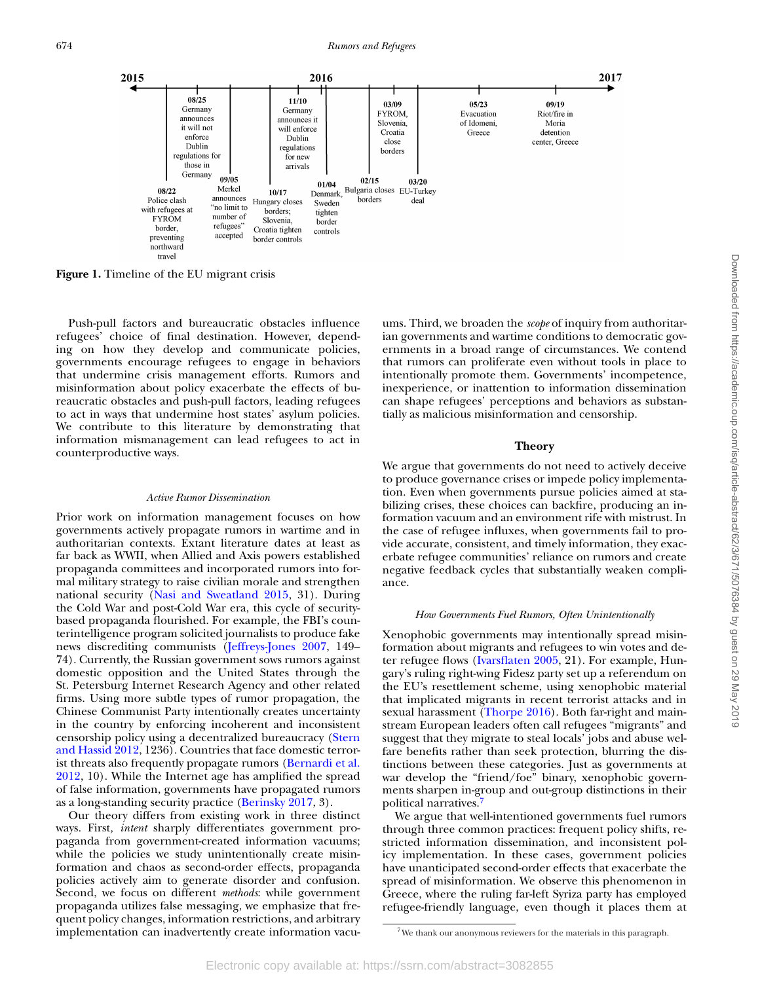<span id="page-3-0"></span>

**Figure 1.** Timeline of the EU migrant crisis

Push-pull factors and bureaucratic obstacles influence refugees' choice of final destination. However, depending on how they develop and communicate policies, governments encourage refugees to engage in behaviors that undermine crisis management efforts. Rumors and misinformation about policy exacerbate the effects of bureaucratic obstacles and push-pull factors, leading refugees to act in ways that undermine host states' asylum policies. We contribute to this literature by demonstrating that information mismanagement can lead refugees to act in counterproductive ways.

#### *Active Rumor Dissemination*

Prior work on information management focuses on how governments actively propagate rumors in wartime and in authoritarian contexts. Extant literature dates at least as far back as WWII, when Allied and Axis powers established propaganda committees and incorporated rumors into formal military strategy to raise civilian morale and strengthen national security [\(Nasi and Sweatland 2015,](#page-13-21) 31). During the Cold War and post-Cold War era, this cycle of securitybased propaganda flourished. For example, the FBI's counterintelligence program solicited journalists to produce fake news discrediting communists [\(Jeffreys-Jones 2007,](#page-13-22) 149– 74). Currently, the Russian government sows rumors against domestic opposition and the United States through the St. Petersburg Internet Research Agency and other related firms. Using more subtle types of rumor propagation, the Chinese Communist Party intentionally creates uncertainty in the country by enforcing incoherent and inconsistent censorship policy using a decentralized bureaucracy (Stern [and Hassid 2012, 1236\). Countries that face domestic terror](#page-14-4)ist threats also frequently propagate rumors (Bernardi et al. [2012, 10\). While the Internet age has amplified the spread](#page-12-15) of false information, governments have propagated rumors as a long-standing security practice [\(Berinsky 2017,](#page-12-4) 3).

Our theory differs from existing work in three distinct ways. First*, intent* sharply differentiates government propaganda from government-created information vacuums; while the policies we study unintentionally create misinformation and chaos as second-order effects, propaganda policies actively aim to generate disorder and confusion. Second, we focus on different *methods*: while government propaganda utilizes false messaging, we emphasize that frequent policy changes, information restrictions, and arbitrary implementation can inadvertently create information vacuums. Third, we broaden the *scope* of inquiry from authoritarian governments and wartime conditions to democratic governments in a broad range of circumstances. We contend that rumors can proliferate even without tools in place to intentionally promote them. Governments' incompetence, inexperience, or inattention to information dissemination can shape refugees' perceptions and behaviors as substantially as malicious misinformation and censorship.

# **Theory**

We argue that governments do not need to actively deceive to produce governance crises or impede policy implementation. Even when governments pursue policies aimed at stabilizing crises, these choices can backfire, producing an information vacuum and an environment rife with mistrust. In the case of refugee influxes, when governments fail to provide accurate, consistent, and timely information, they exacerbate refugee communities' reliance on rumors and create negative feedback cycles that substantially weaken compliance.

### *How Governments Fuel Rumors, Often Unintentionally*

Xenophobic governments may intentionally spread misinformation about migrants and refugees to win votes and deter refugee flows [\(Ivarsflaten 2005,](#page-13-23) 21). For example, Hungary's ruling right-wing Fidesz party set up a referendum on the EU's resettlement scheme, using xenophobic material that implicated migrants in recent terrorist attacks and in sexual harassment [\(Thorpe 2016\)](#page-14-5). Both far-right and mainstream European leaders often call refugees "migrants" and suggest that they migrate to steal locals' jobs and abuse welfare benefits rather than seek protection, blurring the distinctions between these categories. Just as governments at war develop the "friend/foe" binary, xenophobic governments sharpen in-group and out-group distinctions in their political narratives[.7](#page-3-1)

We argue that well-intentioned governments fuel rumors through three common practices: frequent policy shifts, restricted information dissemination, and inconsistent policy implementation. In these cases, government policies have unanticipated second-order effects that exacerbate the spread of misinformation. We observe this phenomenon in Greece, where the ruling far-left Syriza party has employed refugee-friendly language, even though it places them at

<span id="page-3-1"></span> $7$ We thank our anonymous reviewers for the materials in this paragraph.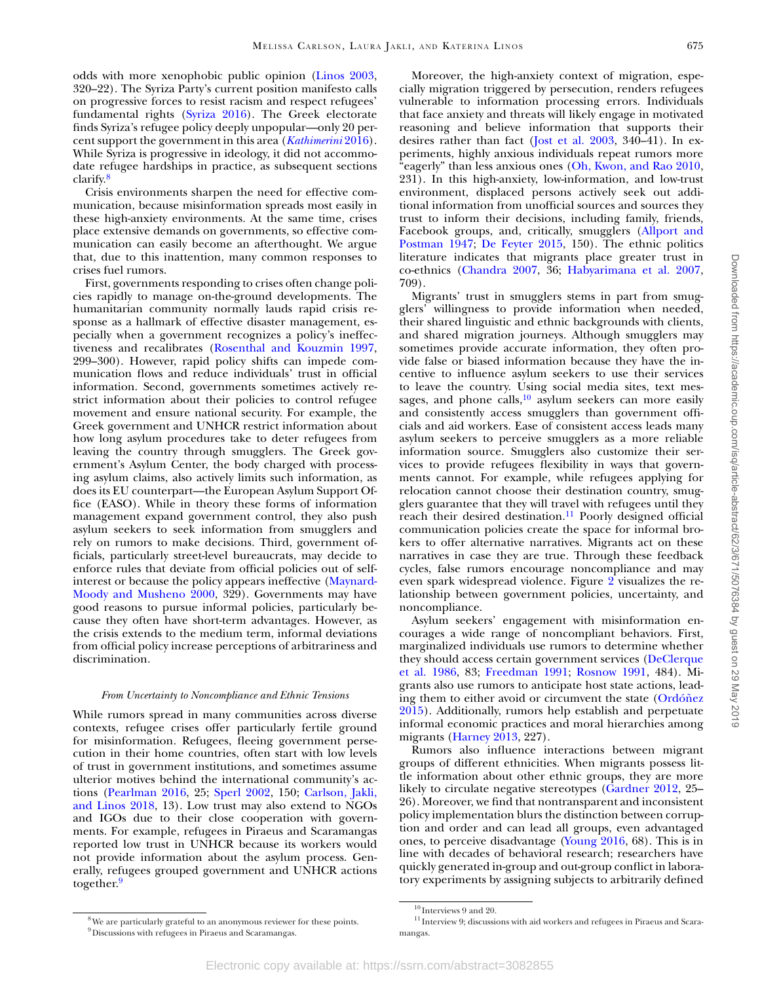odds with more xenophobic public opinion [\(Linos 2003,](#page-13-24) 320–22). The Syriza Party's current position manifesto calls on progressive forces to resist racism and respect refugees' fundamental rights [\(Syriza 2016\)](#page-14-6). The Greek electorate finds Syriza's refugee policy deeply unpopular—only 20 percent support the government in this area (*[Kathimerini](#page-13-14)* 2016). While Syriza is progressive in ideology, it did not accommodate refugee hardships in practice, as subsequent sections clarify[.8](#page-4-0)

Crisis environments sharpen the need for effective communication, because misinformation spreads most easily in these high-anxiety environments. At the same time, crises place extensive demands on governments, so effective communication can easily become an afterthought. We argue that, due to this inattention, many common responses to crises fuel rumors.

First, governments responding to crises often change policies rapidly to manage on-the-ground developments. The humanitarian community normally lauds rapid crisis response as a hallmark of effective disaster management, especially when a government recognizes a policy's ineffectiveness and recalibrates [\(Rosenthal and Kouzmin 1997,](#page-13-25) 299–300). However, rapid policy shifts can impede communication flows and reduce individuals' trust in official information. Second, governments sometimes actively restrict information about their policies to control refugee movement and ensure national security. For example, the Greek government and UNHCR restrict information about how long asylum procedures take to deter refugees from leaving the country through smugglers. The Greek government's Asylum Center, the body charged with processing asylum claims, also actively limits such information, as does its EU counterpart—the European Asylum Support Office (EASO). While in theory these forms of information management expand government control, they also push asylum seekers to seek information from smugglers and rely on rumors to make decisions. Third, government officials, particularly street-level bureaucrats, may decide to enforce rules that deviate from official policies out of selfinterest or because the policy appears ineffective (Maynard-[Moody and Musheno 2000, 329\). Governments may have](#page-13-26) good reasons to pursue informal policies, particularly because they often have short-term advantages. However, as the crisis extends to the medium term, informal deviations from official policy increase perceptions of arbitrariness and discrimination.

# *From Uncertainty to Noncompliance and Ethnic Tensions*

While rumors spread in many communities across diverse contexts, refugee crises offer particularly fertile ground for misinformation. Refugees, fleeing government persecution in their home countries, often start with low levels of trust in government institutions, and sometimes assume ulterior motives behind the international community's actions [\(Pearlman 2016,](#page-13-27) 25; [Sperl 2002,](#page-14-7) 150; Carlson, Jakli, [and Linos 2018, 13\). Low trust may also extend to NGOs](#page-12-16) and IGOs due to their close cooperation with governments. For example, refugees in Piraeus and Scaramangas reported low trust in UNHCR because its workers would not provide information about the asylum process. Generally, refugees grouped government and UNHCR actions together.<sup>9</sup>

Moreover, the high-anxiety context of migration, especially migration triggered by persecution, renders refugees vulnerable to information processing errors. Individuals that face anxiety and threats will likely engage in motivated reasoning and believe information that supports their desires rather than fact [\(Jost et al. 2003,](#page-13-28) 340–41). In experiments, highly anxious individuals repeat rumors more "eagerly" than less anxious ones [\(Oh, Kwon, and Rao 2010,](#page-13-29) 231). In this high-anxiety, low-information, and low-trust environment, displaced persons actively seek out additional information from unofficial sources and sources they trust to inform their decisions, including family, friends, [Facebook groups, and, critically, smugglers \(Allport and](#page-12-17) Postman 1947; [De Feyter 2015,](#page-12-18) 150). The ethnic politics literature indicates that migrants place greater trust in co-ethnics [\(Chandra 2007,](#page-12-19) 36; [Habyarimana et al. 2007,](#page-13-30) 709).

Migrants' trust in smugglers stems in part from smugglers' willingness to provide information when needed, their shared linguistic and ethnic backgrounds with clients, and shared migration journeys. Although smugglers may sometimes provide accurate information, they often provide false or biased information because they have the incentive to influence asylum seekers to use their services to leave the country. Using social media sites, text messages, and phone calls, $10$  asylum seekers can more easily and consistently access smugglers than government officials and aid workers. Ease of consistent access leads many asylum seekers to perceive smugglers as a more reliable information source. Smugglers also customize their services to provide refugees flexibility in ways that governments cannot. For example, while refugees applying for relocation cannot choose their destination country, smugglers guarantee that they will travel with refugees until they reach their desired destination.<sup>11</sup> Poorly designed official communication policies create the space for informal brokers to offer alternative narratives. Migrants act on these narratives in case they are true. Through these feedback cycles, false rumors encourage noncompliance and may even spark widespread violence. Figure [2](#page-5-0) visualizes the relationship between government policies, uncertainty, and noncompliance.

Asylum seekers' engagement with misinformation encourages a wide range of noncompliant behaviors. First, marginalized individuals use rumors to determine whether [they should access certain government services \(DeClerque](#page-12-20) et al. 1986, 83; [Freedman 1991;](#page-12-21) [Rosnow 1991,](#page-13-31) 484). Migrants also use rumors to anticipate host state actions, leading them to either avoid or circumvent the state (Ordóñez [2015\). Additionally, rumors help establish and perpetuate](#page-13-32) informal economic practices and moral hierarchies among migrants [\(Harney 2013,](#page-13-33) 227).

Rumors also influence interactions between migrant groups of different ethnicities. When migrants possess little information about other ethnic groups, they are more likely to circulate negative stereotypes [\(Gardner 2012,](#page-12-22) 25– 26). Moreover, we find that nontransparent and inconsistent policy implementation blurs the distinction between corruption and order and can lead all groups, even advantaged ones, to perceive disadvantage [\(Young 2016,](#page-14-8) 68). This is in line with decades of behavioral research; researchers have quickly generated in-group and out-group conflict in laboratory experiments by assigning subjects to arbitrarily defined

Downloaded from https://academic.oup.com/isq/article-abstract/62/3/671/5076384 by guest on 29 May 2019

Downloaded from https://academic.oup.com/isq/article-abstract/62/3/671/5076384 by guest on 29 May 2019

<span id="page-4-0"></span><sup>&</sup>lt;sup>8</sup>We are particularly grateful to an anonymous reviewer for these points.

<span id="page-4-1"></span><sup>&</sup>lt;sup>9</sup>Discussions with refugees in Piraeus and Scaramangas.

<span id="page-4-3"></span><span id="page-4-2"></span><sup>&</sup>lt;sup>10</sup> Interviews 9 and 20.

 $11$  Interview 9; discussions with aid workers and refugees in Piraeus and Scaramangas.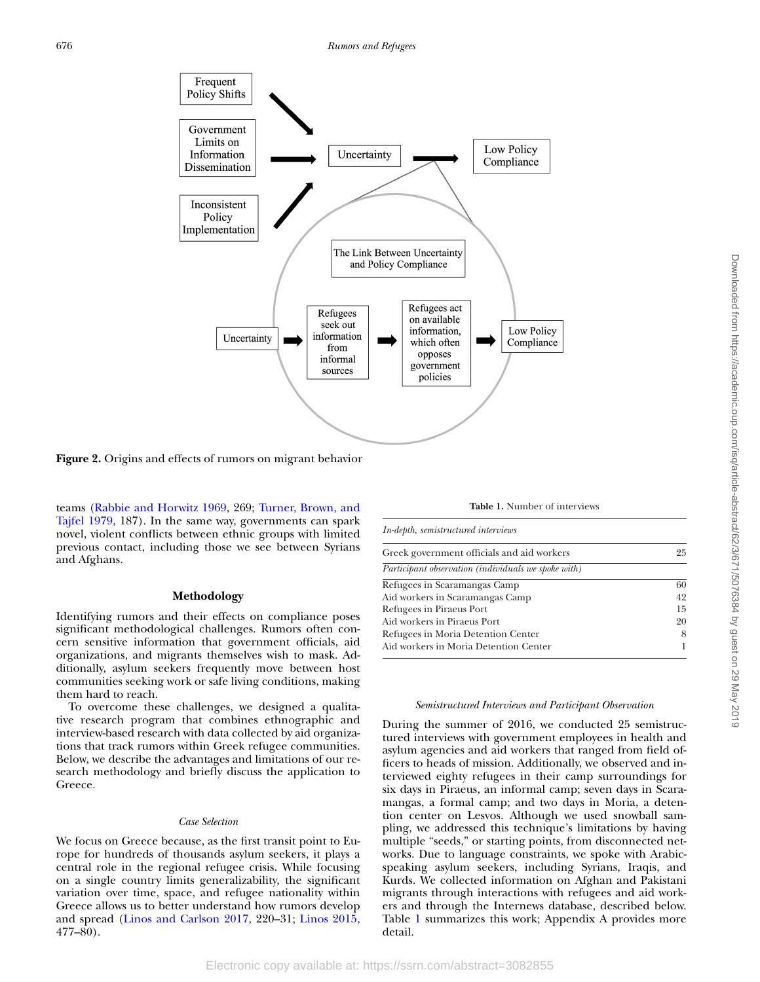<span id="page-5-0"></span>

**Figure 2.** Origins and effects of rumors on migrant behavior

teams [\(Rabbie and Horwitz 1969,](#page-13-34) 269; Turner, Brown, and [Tajfel 1979, 187\). In the same way, governments can spark](#page-14-9) novel, violent conflicts between ethnic groups with limited previous contact, including those we see between Syrians and Afghans.

# **Methodology**

Identifying rumors and their effects on compliance poses significant methodological challenges. Rumors often concern sensitive information that government officials, aid organizations, and migrants themselves wish to mask. Additionally, asylum seekers frequently move between host communities seeking work or safe living conditions, making them hard to reach.

To overcome these challenges, we designed a qualitative research program that combines ethnographic and interview-based research with data collected by aid organizations that track rumors within Greek refugee communities. Below, we describe the advantages and limitations of our research methodology and briefly discuss the application to Greece.

#### *Case Selection*

We focus on Greece because, as the first transit point to Europe for hundreds of thousands asylum seekers, it plays a central role in the regional refugee crisis. While focusing on a single country limits generalizability, the significant variation over time, space, and refugee nationality within Greece allows us to better understand how rumors develop and spread [\(Linos and Carlson 2017,](#page-13-35) 220–31; [Linos 2015,](#page-13-36) 477–80).

**Table 1.** Number of interviews

<span id="page-5-1"></span>

| In-depth, semistructured interviews                 |    |
|-----------------------------------------------------|----|
| Greek government officials and aid workers          | 25 |
| Participant observation (individuals we spoke with) |    |
| Refugees in Scaramangas Camp                        | 60 |
| Aid workers in Scaramangas Camp                     | 42 |
| Refugees in Piraeus Port                            | 15 |
| Aid workers in Piraeus Port                         | 20 |
| Refugees in Moria Detention Center                  | 8  |
| Aid workers in Moria Detention Center               | 1  |

#### *Semistructured Interviews and Participant Observation*

During the summer of 2016, we conducted 25 semistructured interviews with government employees in health and asylum agencies and aid workers that ranged from field officers to heads of mission. Additionally, we observed and interviewed eighty refugees in their camp surroundings for six days in Piraeus, an informal camp; seven days in Scaramangas, a formal camp; and two days in Moria, a detention center on Lesvos. Although we used snowball sampling, we addressed this technique's limitations by having multiple "seeds," or starting points, from disconnected networks. Due to language constraints, we spoke with Arabicspeaking asylum seekers, including Syrians, Iraqis, and Kurds. We collected information on Afghan and Pakistani migrants through interactions with refugees and aid workers and through the Internews database, described below. Table [1](#page-5-1) summarizes this work; Appendix A provides more detail.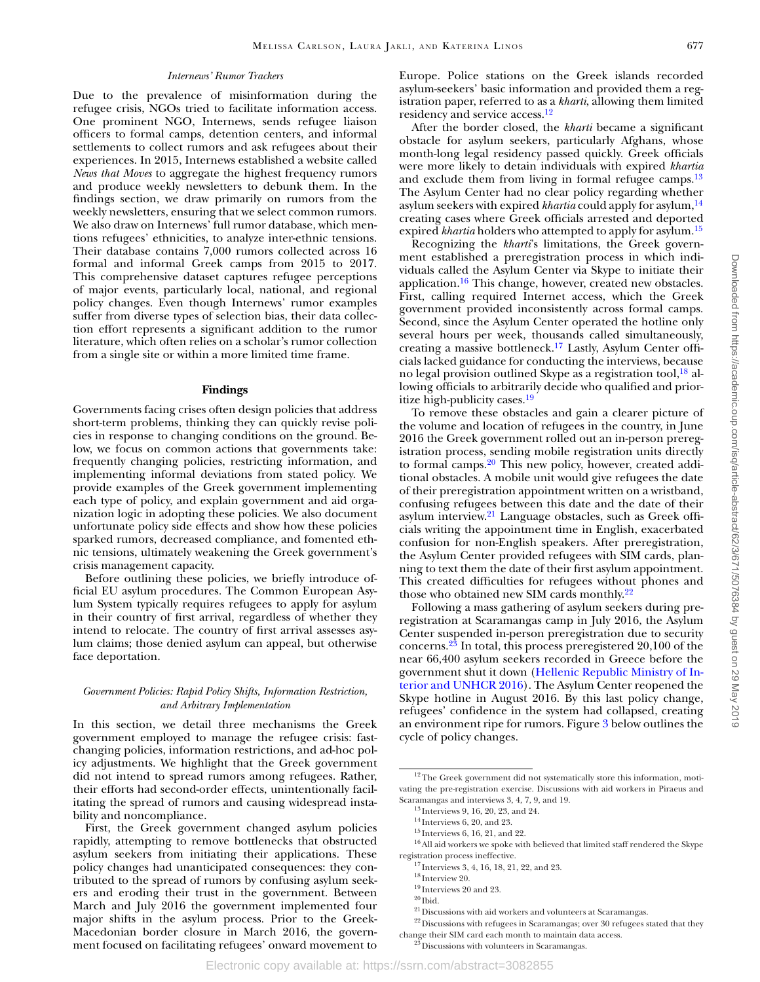## *Internews' Rumor Trackers*

Due to the prevalence of misinformation during the refugee crisis, NGOs tried to facilitate information access. One prominent NGO, Internews, sends refugee liaison officers to formal camps, detention centers, and informal settlements to collect rumors and ask refugees about their experiences. In 2015, Internews established a website called *News that Moves* to aggregate the highest frequency rumors and produce weekly newsletters to debunk them. In the findings section, we draw primarily on rumors from the weekly newsletters, ensuring that we select common rumors. We also draw on Internews' full rumor database, which mentions refugees' ethnicities, to analyze inter-ethnic tensions. Their database contains 7,000 rumors collected across 16 formal and informal Greek camps from 2015 to 2017. This comprehensive dataset captures refugee perceptions of major events, particularly local, national, and regional policy changes. Even though Internews' rumor examples suffer from diverse types of selection bias, their data collection effort represents a significant addition to the rumor literature, which often relies on a scholar's rumor collection from a single site or within a more limited time frame.

#### **Findings**

Governments facing crises often design policies that address short-term problems, thinking they can quickly revise policies in response to changing conditions on the ground. Below, we focus on common actions that governments take: frequently changing policies, restricting information, and implementing informal deviations from stated policy. We provide examples of the Greek government implementing each type of policy, and explain government and aid organization logic in adopting these policies. We also document unfortunate policy side effects and show how these policies sparked rumors, decreased compliance, and fomented ethnic tensions, ultimately weakening the Greek government's crisis management capacity.

Before outlining these policies, we briefly introduce official EU asylum procedures. The Common European Asylum System typically requires refugees to apply for asylum in their country of first arrival, regardless of whether they intend to relocate. The country of first arrival assesses asylum claims; those denied asylum can appeal, but otherwise face deportation.

# *Government Policies: Rapid Policy Shifts, Information Restriction, and Arbitrary Implementation*

In this section, we detail three mechanisms the Greek government employed to manage the refugee crisis: fastchanging policies, information restrictions, and ad-hoc policy adjustments. We highlight that the Greek government did not intend to spread rumors among refugees. Rather, their efforts had second-order effects, unintentionally facilitating the spread of rumors and causing widespread instability and noncompliance.

First, the Greek government changed asylum policies rapidly, attempting to remove bottlenecks that obstructed asylum seekers from initiating their applications. These policy changes had unanticipated consequences: they contributed to the spread of rumors by confusing asylum seekers and eroding their trust in the government. Between March and July 2016 the government implemented four major shifts in the asylum process. Prior to the Greek-Macedonian border closure in March 2016, the government focused on facilitating refugees' onward movement to

Europe. Police stations on the Greek islands recorded asylum-seekers' basic information and provided them a registration paper, referred to as a *kharti*, allowing them limited residency and service access.<sup>12</sup>

After the border closed, the *kharti* became a significant obstacle for asylum seekers, particularly Afghans, whose month-long legal residency passed quickly. Greek officials were more likely to detain individuals with expired *khartia* and exclude them from living in formal refugee camps.<sup>13</sup> The Asylum Center had no clear policy regarding whether asylum seekers with expired *khartia* could apply for asylum,<sup>14</sup> creating cases where Greek officials arrested and deported expired *khartia* holders who attempted to apply for asylum.<sup>15</sup>

Recognizing the *kharti*'s limitations, the Greek government established a preregistration process in which individuals called the Asylum Center via Skype to initiate their application[.16](#page-6-4) This change, however, created new obstacles. First, calling required Internet access, which the Greek government provided inconsistently across formal camps. Second, since the Asylum Center operated the hotline only several hours per week, thousands called simultaneously, creating a massive bottleneck[.17](#page-6-5) Lastly, Asylum Center officials lacked guidance for conducting the interviews, because no legal provision outlined Skype as a registration tool,<sup>18</sup> allowing officials to arbitrarily decide who qualified and prioritize high-publicity cases.<sup>19</sup>

To remove these obstacles and gain a clearer picture of the volume and location of refugees in the country, in June 2016 the Greek government rolled out an in-person preregistration process, sending mobile registration units directly to formal camps.<sup>20</sup> This new policy, however, created additional obstacles. A mobile unit would give refugees the date of their preregistration appointment written on a wristband, confusing refugees between this date and the date of their asylum interview.<sup>21</sup> Language obstacles, such as Greek officials writing the appointment time in English, exacerbated confusion for non-English speakers. After preregistration, the Asylum Center provided refugees with SIM cards, planning to text them the date of their first asylum appointment. This created difficulties for refugees without phones and those who obtained new SIM cards monthly.<sup>22</sup>

Following a mass gathering of asylum seekers during preregistration at Scaramangas camp in July 2016, the Asylum Center suspended in-person preregistration due to security concerns[.23](#page-6-11) In total, this process preregistered 20,100 of the near 66,400 asylum seekers recorded in Greece before the [government shut it down \(Hellenic Republic Ministry of In](#page-13-37)terior and UNHCR 2016). The Asylum Center reopened the Skype hotline in August 2016. By this last policy change, refugees' confidence in the system had collapsed, creating an environment ripe for rumors. Figure [3](#page-7-0) below outlines the cycle of policy changes.

<span id="page-6-0"></span> $^{12}\mathrm{The}$  Greek government did not systematically store this information, motivating the pre-registration exercise. Discussions with aid workers in Piraeus and Scaramangas and interviews 3, 4, 7, 9, and 19.

<span id="page-6-11"></span> $^{23}$ Discussions with volunteers in Scaramangas

<span id="page-6-1"></span><sup>&</sup>lt;sup>13</sup> Interviews 9, 16, 20, 23, and 24.

<span id="page-6-2"></span> $14$  Interviews 6, 20, and 23.

<span id="page-6-4"></span><span id="page-6-3"></span> $^{15}\!$  Interviews 6, 16, 21, and 22.

 $^{16}\mathrm{All}$  aid workers we spoke with believed that limited staff rendered the Skype registration process ineffective.

<span id="page-6-5"></span><sup>17</sup> Interviews 3, 4, 16, 18, 21, 22, and 23.

<span id="page-6-6"></span> $^{18}\!$  Interview 20.

<span id="page-6-7"></span> $19$  Interviews 20 and 23.

<span id="page-6-8"></span> $\rm{^{20}Ibid.}$ 

<span id="page-6-10"></span><span id="page-6-9"></span> $^\mathrm{21}$  Discussions with aid workers and volunteers at Scaramangas.

<sup>&</sup>lt;sup>22</sup> Discussions with refugees in Scaramangas; over 30 refugees stated that they change their SIM card each month to maintain data access.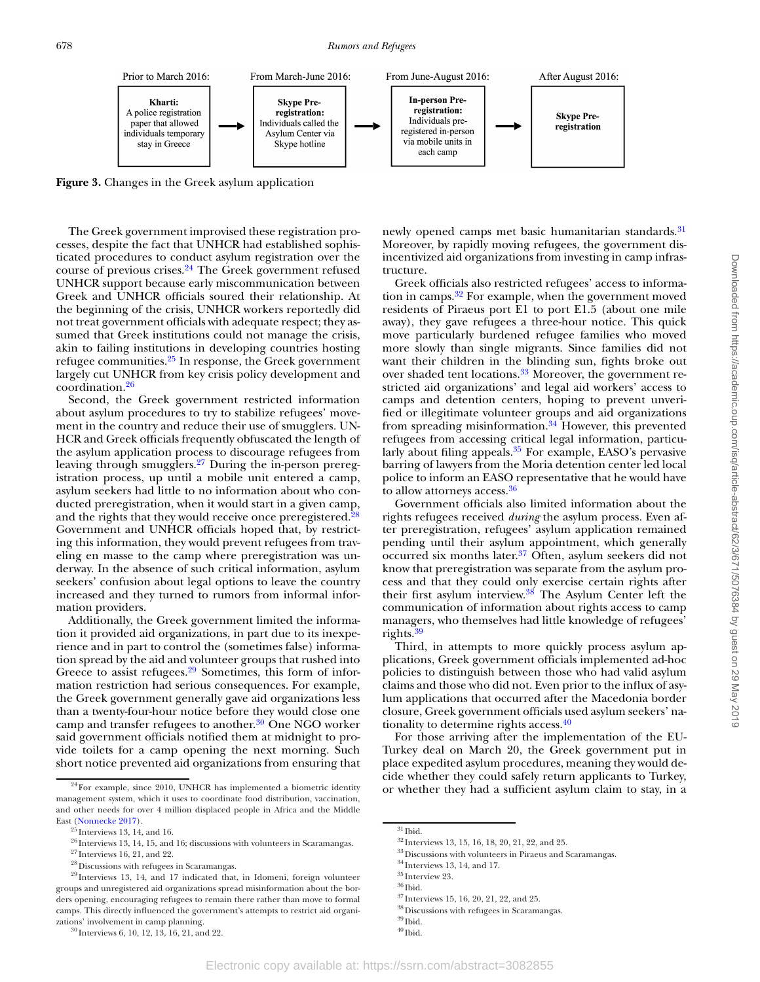<span id="page-7-0"></span>Prior to March 2016: From March-June 2016: From June-August 2016: After August 2016: Kharti: **Skype Pre-In-person Pre**registration: A police registration registration: **Skype Pre-**Individuals prepaper that allowed Individuals called the registration individuals temporary Asylum Center via registered in-person via mobile units in stay in Greece Skype hotline each camp

**Figure 3.** Changes in the Greek asylum application

The Greek government improvised these registration processes, despite the fact that UNHCR had established sophisticated procedures to conduct asylum registration over the course of previous crises.<sup>24</sup> The Greek government refused UNHCR support because early miscommunication between Greek and UNHCR officials soured their relationship. At the beginning of the crisis, UNHCR workers reportedly did not treat government officials with adequate respect; they assumed that Greek institutions could not manage the crisis, akin to failing institutions in developing countries hosting refugee communities[.25](#page-7-2) In response, the Greek government largely cut UNHCR from key crisis policy development and coordination[.26](#page-7-3)

Second, the Greek government restricted information about asylum procedures to try to stabilize refugees' movement in the country and reduce their use of smugglers. UN-HCR and Greek officials frequently obfuscated the length of the asylum application process to discourage refugees from leaving through smugglers[.27](#page-7-4) During the in-person preregistration process, up until a mobile unit entered a camp, asylum seekers had little to no information about who conducted preregistration, when it would start in a given camp, and the rights that they would receive once preregistered. $<sup>2</sup>$ </sup> Government and UNHCR officials hoped that, by restricting this information, they would prevent refugees from traveling en masse to the camp where preregistration was underway. In the absence of such critical information, asylum seekers' confusion about legal options to leave the country increased and they turned to rumors from informal information providers.

Additionally, the Greek government limited the information it provided aid organizations, in part due to its inexperience and in part to control the (sometimes false) information spread by the aid and volunteer groups that rushed into Greece to assist refugees.<sup>29</sup> Sometimes, this form of information restriction had serious consequences. For example, the Greek government generally gave aid organizations less than a twenty-four-hour notice before they would close one camp and transfer refugees to another.<sup>30</sup> One NGO worker said government officials notified them at midnight to provide toilets for a camp opening the next morning. Such short notice prevented aid organizations from ensuring that

<span id="page-7-6"></span><span id="page-7-5"></span>28Discussions with refugees in Scaramangas.

newly opened camps met basic humanitarian standards.<sup>31</sup> Moreover, by rapidly moving refugees, the government disincentivized aid organizations from investing in camp infrastructure.

Greek officials also restricted refugees' access to information in camps.<sup>32</sup> For example, when the government moved residents of Piraeus port E1 to port E1.5 (about one mile away), they gave refugees a three-hour notice. This quick move particularly burdened refugee families who moved more slowly than single migrants. Since families did not want their children in the blinding sun, fights broke out over shaded tent locations.<sup>33</sup> Moreover, the government restricted aid organizations' and legal aid workers' access to camps and detention centers, hoping to prevent unverified or illegitimate volunteer groups and aid organizations from spreading misinformation.<sup>34</sup> However, this prevented refugees from accessing critical legal information, particularly about filing appeals.<sup>35</sup> For example, EASO's pervasive barring of lawyers from the Moria detention center led local police to inform an EASO representative that he would have to allow attorneys access[.36](#page-7-13)

Government officials also limited information about the rights refugees received *during* the asylum process. Even after preregistration, refugees' asylum application remained pending until their asylum appointment, which generally occurred six months later.<sup>37</sup> Often, asylum seekers did not know that preregistration was separate from the asylum process and that they could only exercise certain rights after their first asylum interview.<sup>38</sup> The Asylum Center left the communication of information about rights access to camp managers, who themselves had little knowledge of refugees' rights[.39](#page-7-16)

Third, in attempts to more quickly process asylum applications, Greek government officials implemented ad-hoc policies to distinguish between those who had valid asylum claims and those who did not. Even prior to the influx of asylum applications that occurred after the Macedonia border closure, Greek government officials used asylum seekers' nationality to determine rights access[.40](#page-7-17)

For those arriving after the implementation of the EU-Turkey deal on March 20, the Greek government put in place expedited asylum procedures, meaning they would decide whether they could safely return applicants to Turkey, or whether they had a sufficient asylum claim to stay, in a

<span id="page-7-16"></span> $39$  Ibid.

<span id="page-7-1"></span> $24$  For example, since 2010, UNHCR has implemented a biometric identity management system, which it uses to coordinate food distribution, vaccination, and other needs for over 4 million displaced people in Africa and the Middle East [\(Nonnecke 2017\)](#page-13-38).

<span id="page-7-2"></span> $25$  Interviews 13, 14, and 16.

<span id="page-7-3"></span> $^{26}\!$  Interviews 13, 14, 15, and 16; discussions with volunteers in Scaramangas.

<span id="page-7-4"></span> $\rm{^{27}}$  Interviews 16, 21, and 22.

 $29$  Interviews 13, 14, and 17 indicated that, in Idomeni, foreign volunteer groups and unregistered aid organizations spread misinformation about the borders opening, encouraging refugees to remain there rather than move to formal camps. This directly influenced the government's attempts to restrict aid organizations' involvement in camp planning.

<span id="page-7-7"></span><sup>30</sup> Interviews 6, 10, 12, 13, 16, 21, and 22.

<span id="page-7-8"></span> $31$  Ibid.

<span id="page-7-10"></span><span id="page-7-9"></span><sup>32</sup> Interviews 13, 15, 16, 18, 20, 21, 22, and 25.

<sup>33</sup>Discussions with volunteers in Piraeus and Scaramangas.

<span id="page-7-11"></span><sup>34</sup> Interviews 13, 14, and 17.

<span id="page-7-12"></span><sup>35</sup> Interview 23.

<span id="page-7-13"></span> $\rm{^{36}Ibid.}$ 

<span id="page-7-14"></span><sup>37</sup> Interviews 15, 16, 20, 21, 22, and 25.

<span id="page-7-15"></span><sup>&</sup>lt;sup>38</sup>Discussions with refugees in Scaramangas.

<span id="page-7-17"></span> $40$  Ibid.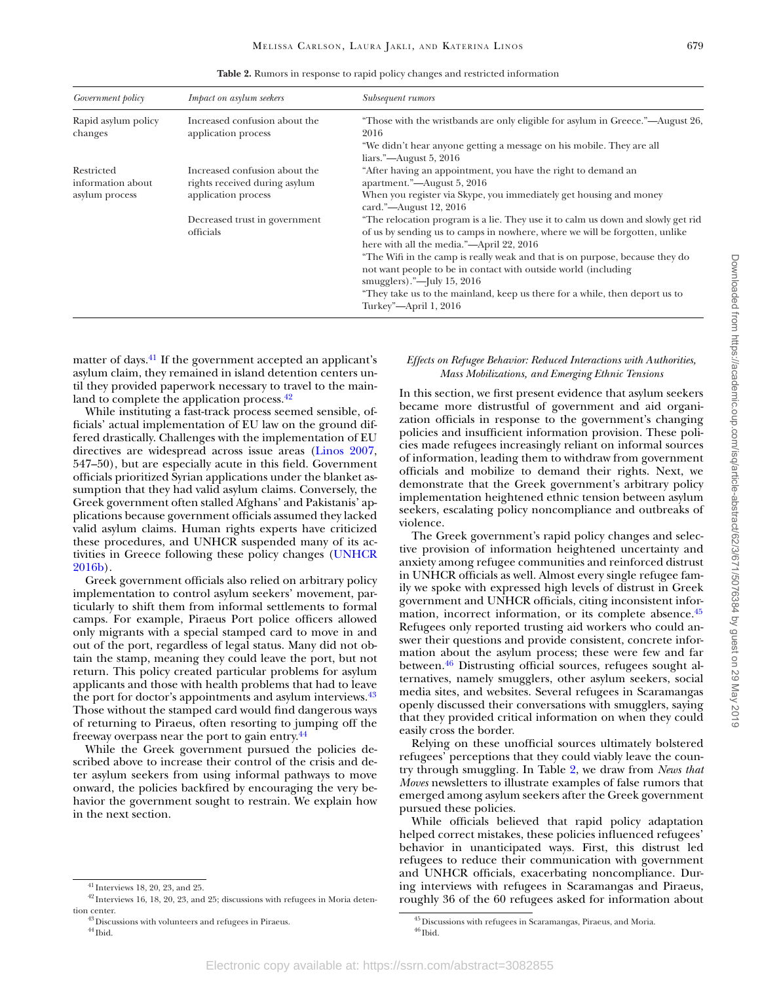Downloaded from https://academic.oup.com/isq/article-abstract/62/3/671/5076384 by guest on 29 May 2019

Downloaded from https://academic.oup.com/isq/article-abstract/62/3/671/5076384 by guest on 29 May 2019

<span id="page-8-6"></span>

| Government policy                                 | Impact on asylum seekers                                                              | Subsequent rumors                                                                                                                                                                                                                                                                                                                                                                                                                                                                                   |
|---------------------------------------------------|---------------------------------------------------------------------------------------|-----------------------------------------------------------------------------------------------------------------------------------------------------------------------------------------------------------------------------------------------------------------------------------------------------------------------------------------------------------------------------------------------------------------------------------------------------------------------------------------------------|
| Rapid asylum policy<br>changes                    | Increased confusion about the<br>application process                                  | "Those with the wristbands are only eligible for asylum in Greece."—August 26,<br>2016<br>"We didn't hear anyone getting a message on his mobile. They are all<br>liars." $-August 5, 2016$                                                                                                                                                                                                                                                                                                         |
| Restricted<br>information about<br>asylum process | Increased confusion about the<br>rights received during asylum<br>application process | "After having an appointment, you have the right to demand an<br>apartment."—August 5, 2016<br>When you register via Skype, you immediately get housing and money<br>card." $-August$ 12, 2016                                                                                                                                                                                                                                                                                                      |
|                                                   | Decreased trust in government<br>officials                                            | "The relocation program is a lie. They use it to calm us down and slowly get rid<br>of us by sending us to camps in nowhere, where we will be forgotten, unlike<br>here with all the media."-April 22, 2016<br>"The Wifi in the camp is really weak and that is on purpose, because they do<br>not want people to be in contact with outside world (including<br>smugglers)."-July 15, 2016<br>"They take us to the mainland, keep us there for a while, then deport us to<br>Turkey"—April 1, 2016 |

**Table 2.** Rumors in response to rapid policy changes and restricted information

matter of days.<sup>41</sup> If the government accepted an applicant's asylum claim, they remained in island detention centers until they provided paperwork necessary to travel to the mainland to complete the application process.<sup>42</sup>

While instituting a fast-track process seemed sensible, officials' actual implementation of EU law on the ground differed drastically. Challenges with the implementation of EU directives are widespread across issue areas [\(Linos 2007,](#page-13-39) 547–50), but are especially acute in this field. Government officials prioritized Syrian applications under the blanket assumption that they had valid asylum claims. Conversely, the Greek government often stalled Afghans' and Pakistanis' applications because government officials assumed they lacked valid asylum claims. Human rights experts have criticized these procedures, and UNHCR suspended many of its ac[tivities in Greece following these policy changes \(UNHCR](#page-14-10) 2016b).

Greek government officials also relied on arbitrary policy implementation to control asylum seekers' movement, particularly to shift them from informal settlements to formal camps. For example, Piraeus Port police officers allowed only migrants with a special stamped card to move in and out of the port, regardless of legal status. Many did not obtain the stamp, meaning they could leave the port, but not return. This policy created particular problems for asylum applicants and those with health problems that had to leave the port for doctor's appointments and asylum interviews.<sup>43</sup> Those without the stamped card would find dangerous ways of returning to Piraeus, often resorting to jumping off the freeway overpass near the port to gain entry[.44](#page-8-3)

While the Greek government pursued the policies described above to increase their control of the crisis and deter asylum seekers from using informal pathways to move onward, the policies backfired by encouraging the very behavior the government sought to restrain. We explain how in the next section.

# *Effects on Refugee Behavior: Reduced Interactions with Authorities, Mass Mobilizations, and Emerging Ethnic Tensions*

In this section, we first present evidence that asylum seekers became more distrustful of government and aid organization officials in response to the government's changing policies and insufficient information provision. These policies made refugees increasingly reliant on informal sources of information, leading them to withdraw from government officials and mobilize to demand their rights. Next, we demonstrate that the Greek government's arbitrary policy implementation heightened ethnic tension between asylum seekers, escalating policy noncompliance and outbreaks of violence.

The Greek government's rapid policy changes and selective provision of information heightened uncertainty and anxiety among refugee communities and reinforced distrust in UNHCR officials as well. Almost every single refugee family we spoke with expressed high levels of distrust in Greek government and UNHCR officials, citing inconsistent information, incorrect information, or its complete absence.<sup>45</sup> Refugees only reported trusting aid workers who could answer their questions and provide consistent, concrete information about the asylum process; these were few and far between.<sup>46</sup> Distrusting official sources, refugees sought alternatives, namely smugglers, other asylum seekers, social media sites, and websites. Several refugees in Scaramangas openly discussed their conversations with smugglers, saying that they provided critical information on when they could easily cross the border.

Relying on these unofficial sources ultimately bolstered refugees' perceptions that they could viably leave the country through smuggling. In Table [2,](#page-8-6) we draw from *News that Moves* newsletters to illustrate examples of false rumors that emerged among asylum seekers after the Greek government pursued these policies.

While officials believed that rapid policy adaptation helped correct mistakes, these policies influenced refugees' behavior in unanticipated ways. First, this distrust led refugees to reduce their communication with government and UNHCR officials, exacerbating noncompliance. During interviews with refugees in Scaramangas and Piraeus, roughly 36 of the 60 refugees asked for information about

<span id="page-8-1"></span><span id="page-8-0"></span> $41$  Interviews 18, 20, 23, and 25.

 $42$  Interviews 16, 18, 20, 23, and 25; discussions with refugees in Moria detention center.

<span id="page-8-2"></span> $^{43}$  Discussions with volunteers and refugees in Piraeus.

<span id="page-8-3"></span> $^{44}$  Ibid.

<span id="page-8-5"></span><span id="page-8-4"></span><sup>45</sup>Discussions with refugees in Scaramangas, Piraeus, and Moria.  $46$  Ibid.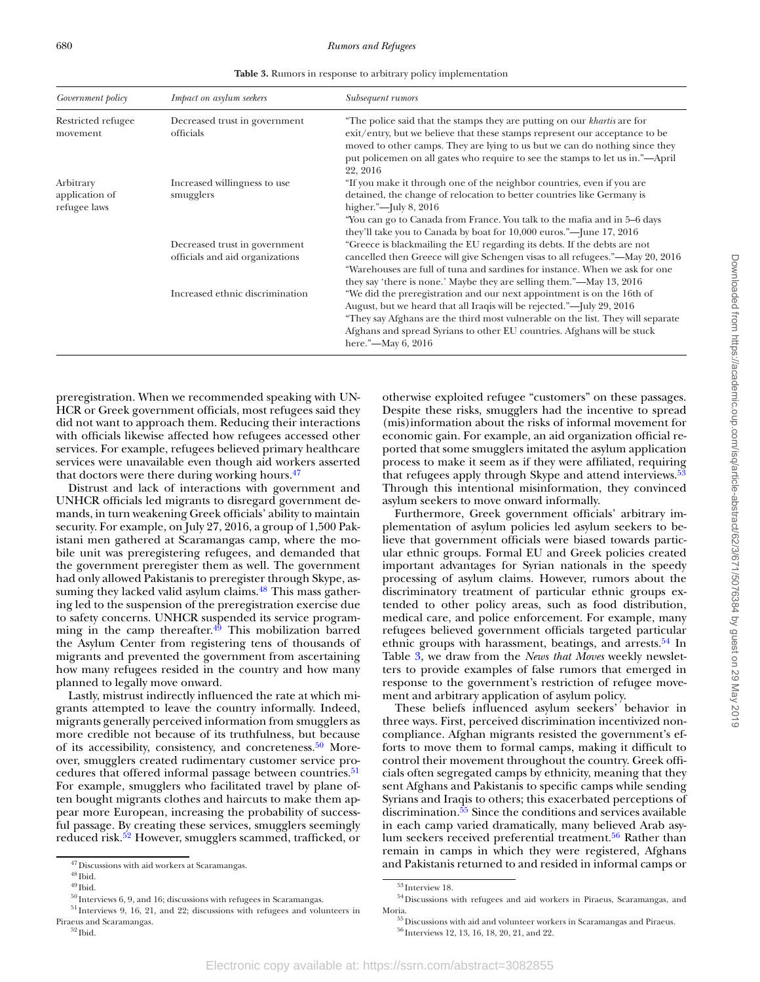<span id="page-9-8"></span>*Government policy Impact on asylum seekers Subsequent rumors* Restricted refugee movement Decreased trust in government officials "The police said that the stamps they are putting on our *khartis* are for exit/entry, but we believe that these stamps represent our acceptance to be moved to other camps. They are lying to us but we can do nothing since they put policemen on all gates who require to see the stamps to let us in."—April 22, 2016 Arbitrary application of refugee laws Increased willingness to use smugglers "If you make it through one of the neighbor countries, even if you are detained, the change of relocation to better countries like Germany is higher."—July 8, 2016 "You can go to Canada from France. You talk to the mafia and in 5–6 days they'll take you to Canada by boat for 10,000 euros."—June 17, 2016 Decreased trust in government officials and aid organizations "Greece is blackmailing the EU regarding its debts. If the debts are not cancelled then Greece will give Schengen visas to all refugees."—May 20, 2016 "Warehouses are full of tuna and sardines for instance. When we ask for one they say 'there is none.' Maybe they are selling them."—May 13, 2016 Increased ethnic discrimination "We did the preregistration and our next appointment is on the 16th of August, but we heard that all Iraqis will be rejected."—July 29, 2016 "They say Afghans are the third most vulnerable on the list. They will separate Afghans and spread Syrians to other EU countries. Afghans will be stuck here."—May 6, 2016

**Table 3.** Rumors in response to arbitrary policy implementation

preregistration. When we recommended speaking with UN-HCR or Greek government officials, most refugees said they did not want to approach them. Reducing their interactions with officials likewise affected how refugees accessed other services. For example, refugees believed primary healthcare services were unavailable even though aid workers asserted that doctors were there during working hours.<sup>47</sup>

Distrust and lack of interactions with government and UNHCR officials led migrants to disregard government demands, in turn weakening Greek officials' ability to maintain security. For example, on July 27, 2016, a group of 1,500 Pakistani men gathered at Scaramangas camp, where the mobile unit was preregistering refugees, and demanded that the government preregister them as well. The government had only allowed Pakistanis to preregister through Skype, assuming they lacked valid asylum claims. $48$  This mass gathering led to the suspension of the preregistration exercise due to safety concerns. UNHCR suspended its service programming in the camp thereafter. $49$  This mobilization barred the Asylum Center from registering tens of thousands of migrants and prevented the government from ascertaining how many refugees resided in the country and how many planned to legally move onward.

Lastly, mistrust indirectly influenced the rate at which migrants attempted to leave the country informally. Indeed, migrants generally perceived information from smugglers as more credible not because of its truthfulness, but because of its accessibility, consistency, and concreteness.<sup>50</sup> Moreover, smugglers created rudimentary customer service procedures that offered informal passage between countries.<sup>51</sup> For example, smugglers who facilitated travel by plane often bought migrants clothes and haircuts to make them appear more European, increasing the probability of successful passage. By creating these services, smugglers seemingly reduced risk.<sup>52</sup> However, smugglers scammed, trafficked, or otherwise exploited refugee "customers" on these passages. Despite these risks, smugglers had the incentive to spread (mis)information about the risks of informal movement for economic gain. For example, an aid organization official reported that some smugglers imitated the asylum application process to make it seem as if they were affiliated, requiring that refugees apply through Skype and attend interviews.<sup>53</sup> Through this intentional misinformation, they convinced asylum seekers to move onward informally.

Furthermore, Greek government officials' arbitrary implementation of asylum policies led asylum seekers to believe that government officials were biased towards particular ethnic groups. Formal EU and Greek policies created important advantages for Syrian nationals in the speedy processing of asylum claims. However, rumors about the discriminatory treatment of particular ethnic groups extended to other policy areas, such as food distribution, medical care, and police enforcement. For example, many refugees believed government officials targeted particular ethnic groups with harassment, beatings, and arrests.<sup>54</sup> In Table [3,](#page-9-8) we draw from the *News that Moves* weekly newsletters to provide examples of false rumors that emerged in response to the government's restriction of refugee movement and arbitrary application of asylum policy.

These beliefs influenced asylum seekers' behavior in three ways. First, perceived discrimination incentivized noncompliance. Afghan migrants resisted the government's efforts to move them to formal camps, making it difficult to control their movement throughout the country. Greek officials often segregated camps by ethnicity, meaning that they sent Afghans and Pakistanis to specific camps while sending Syrians and Iraqis to others; this exacerbated perceptions of discrimination[.55](#page-9-9) Since the conditions and services available in each camp varied dramatically, many believed Arab asylum seekers received preferential treatment.<sup>56</sup> Rather than remain in camps in which they were registered, Afghans and Pakistanis returned to and resided in informal camps or

<span id="page-9-0"></span> $^{47}\rm\,Discussions$  with aid workers at Scaramangas.

<span id="page-9-1"></span> $^{48}$  Ibid.

<span id="page-9-2"></span> $^{\rm 49}$  Ibid.

<span id="page-9-4"></span><span id="page-9-3"></span> $\rm ^{50}$  Interviews 6, 9, and 16; discussions with refugees in Scaramangas.

<sup>51</sup> Interviews 9, 16, 21, and 22; discussions with refugees and volunteers in

<span id="page-9-5"></span>Piraeus and Scaramangas.  $52$  Ibid.

<span id="page-9-7"></span><span id="page-9-6"></span><sup>53</sup> Interview 18.

<sup>54</sup>Discussions with refugees and aid workers in Piraeus, Scaramangas, and Moria.

<span id="page-9-10"></span><span id="page-9-9"></span> $\rm ^{55}$  Discussions with aid and volunteer workers in Scaramangas and Piraeus. <sup>56</sup> Interviews 12, 13, 16, 18, 20, 21, and 22.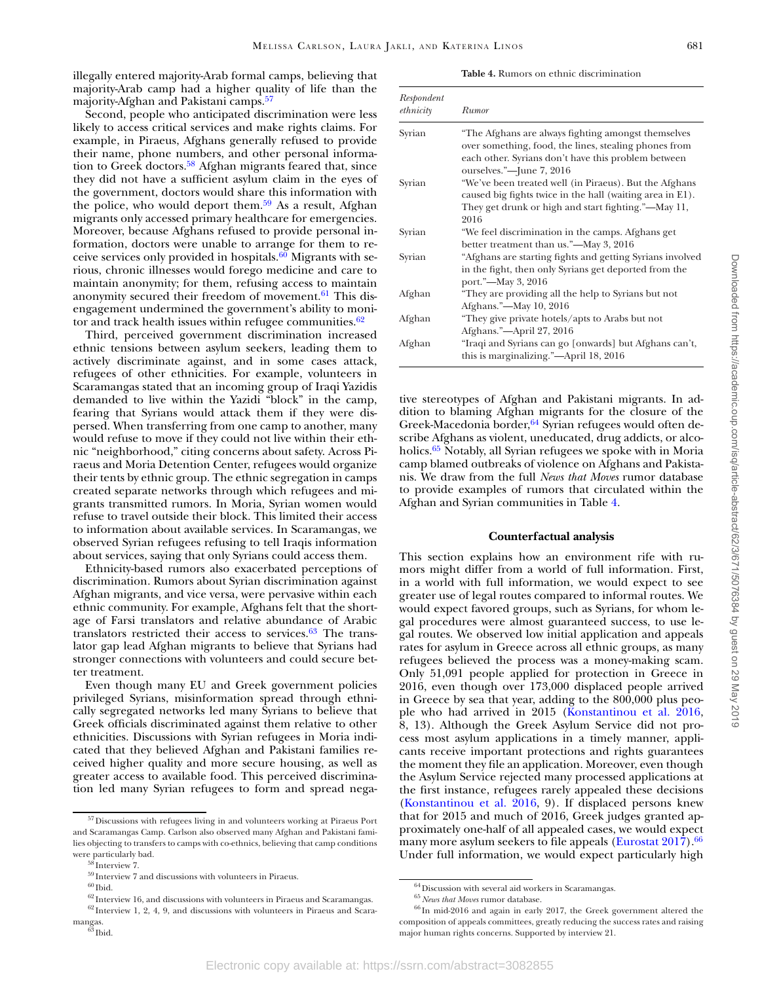illegally entered majority-Arab formal camps, believing that majority-Arab camp had a higher quality of life than the majority-Afghan and Pakistani camps[.57](#page-10-0)

Second, people who anticipated discrimination were less likely to access critical services and make rights claims. For example, in Piraeus, Afghans generally refused to provide their name, phone numbers, and other personal information to Greek doctors.<sup>58</sup> Afghan migrants feared that, since they did not have a sufficient asylum claim in the eyes of the government, doctors would share this information with the police, who would deport them.<sup>59</sup> As a result, Afghan migrants only accessed primary healthcare for emergencies. Moreover, because Afghans refused to provide personal information, doctors were unable to arrange for them to receive services only provided in hospitals. $60$  Migrants with serious, chronic illnesses would forego medicine and care to maintain anonymity; for them, refusing access to maintain anonymity secured their freedom of movement. $61$  This disengagement undermined the government's ability to monitor and track health issues within refugee communities. $62$ 

Third, perceived government discrimination increased ethnic tensions between asylum seekers, leading them to actively discriminate against, and in some cases attack, refugees of other ethnicities. For example, volunteers in Scaramangas stated that an incoming group of Iraqi Yazidis demanded to live within the Yazidi "block" in the camp, fearing that Syrians would attack them if they were dispersed. When transferring from one camp to another, many would refuse to move if they could not live within their ethnic "neighborhood," citing concerns about safety. Across Piraeus and Moria Detention Center, refugees would organize their tents by ethnic group. The ethnic segregation in camps created separate networks through which refugees and migrants transmitted rumors. In Moria, Syrian women would refuse to travel outside their block. This limited their access to information about available services. In Scaramangas, we observed Syrian refugees refusing to tell Iraqis information about services, saying that only Syrians could access them.

Ethnicity-based rumors also exacerbated perceptions of discrimination. Rumors about Syrian discrimination against Afghan migrants, and vice versa, were pervasive within each ethnic community. For example, Afghans felt that the shortage of Farsi translators and relative abundance of Arabic translators restricted their access to services[.63](#page-10-6) The translator gap lead Afghan migrants to believe that Syrians had stronger connections with volunteers and could secure better treatment.

Even though many EU and Greek government policies privileged Syrians, misinformation spread through ethnically segregated networks led many Syrians to believe that Greek officials discriminated against them relative to other ethnicities. Discussions with Syrian refugees in Moria indicated that they believed Afghan and Pakistani families received higher quality and more secure housing, as well as greater access to available food. This perceived discrimination led many Syrian refugees to form and spread nega-

<span id="page-10-9"></span>

| Respondent<br>ethnicity | Rumor                                                                                                                                                                                           |  |
|-------------------------|-------------------------------------------------------------------------------------------------------------------------------------------------------------------------------------------------|--|
| Syrian                  | "The Afghans are always fighting amongst themselves<br>over something, food, the lines, stealing phones from<br>each other. Syrians don't have this problem between<br>ourselves."—June 7, 2016 |  |
| Syrian                  | "We've been treated well (in Piraeus). But the Afghans<br>caused big fights twice in the hall (waiting area in E1).<br>They get drunk or high and start fighting."—May 11,<br>2016              |  |
| Syrian                  | "We feel discrimination in the camps. Afghans get<br>better treatment than us."—May 3, 2016                                                                                                     |  |
| Syrian                  | "Afghans are starting fights and getting Syrians involved<br>in the fight, then only Syrians get deported from the<br>port."—May 3, 2016                                                        |  |
| Afghan                  | "They are providing all the help to Syrians but not<br>Afghans."—May 10, 2016                                                                                                                   |  |
| Afghan                  | "They give private hotels/apts to Arabs but not<br>Afghans."—April 27, 2016                                                                                                                     |  |
| Afghan                  | "Iraqi and Syrians can go [onwards] but Afghans can't,<br>this is marginalizing."—April 18, 2016                                                                                                |  |

**Table 4.** Rumors on ethnic discrimination

tive stereotypes of Afghan and Pakistani migrants. In addition to blaming Afghan migrants for the closure of the Greek-Macedonia border, <sup>64</sup> Syrian refugees would often describe Afghans as violent, uneducated, drug addicts, or alcoholics.<sup>65</sup> Notably, all Syrian refugees we spoke with in Moria camp blamed outbreaks of violence on Afghans and Pakistanis. We draw from the full *News that Moves* rumor database to provide examples of rumors that circulated within the Afghan and Syrian communities in Table [4.](#page-10-9)

## **Counterfactual analysis**

This section explains how an environment rife with rumors might differ from a world of full information. First, in a world with full information, we would expect to see greater use of legal routes compared to informal routes. We would expect favored groups, such as Syrians, for whom legal procedures were almost guaranteed success, to use legal routes. We observed low initial application and appeals rates for asylum in Greece across all ethnic groups, as many refugees believed the process was a money-making scam. Only 51,091 people applied for protection in Greece in 2016, even though over 173,000 displaced people arrived in Greece by sea that year, adding to the 800,000 plus people who had arrived in 2015 [\(Konstantinou et al. 2016,](#page-13-5) 8, 13). Although the Greek Asylum Service did not process most asylum applications in a timely manner, applicants receive important protections and rights guarantees the moment they file an application. Moreover, even though the Asylum Service rejected many processed applications at the first instance, refugees rarely appealed these decisions (Konstantinou et al.  $2016$ , 9). If displaced persons knew that for 2015 and much of 2016, Greek judges granted approximately one-half of all appealed cases, we would expect many more asylum seekers to file appeals [\(Eurostat 2017\)](#page-12-23).<sup>66</sup> Under full information, we would expect particularly high

<span id="page-10-0"></span><sup>&</sup>lt;sup>57</sup> Discussions with refugees living in and volunteers working at Piraeus Port and Scaramangas Camp. Carlson also observed many Afghan and Pakistani families objecting to transfers to camps with co-ethnics, believing that camp conditions were particularly bad.

<span id="page-10-1"></span> $\mathrm{^3}$  Interview 7.

<span id="page-10-2"></span> $\rm ^{59}$  Interview 7 and discussions with volunteers in Piraeus.

<span id="page-10-3"></span> $\rm ^{60}$  Ibid.

<span id="page-10-5"></span><span id="page-10-4"></span> $62$  Interview 16, and discussions with volunteers in Piraeus and Scaramangas. <sup>62</sup> Interview 1, 2, 4, 9, and discussions with volunteers in Piraeus and Scara-

<span id="page-10-6"></span>mangas.<br><sup>63</sup> Ibid.

<span id="page-10-7"></span><sup>64</sup>Discussion with several aid workers in Scaramangas.

<span id="page-10-10"></span><span id="page-10-8"></span><sup>65</sup> *News that Moves* rumor database.

 $66$  In mid-2016 and again in early 2017, the Greek government altered the composition of appeals committees, greatly reducing the success rates and raising major human rights concerns. Supported by interview 21.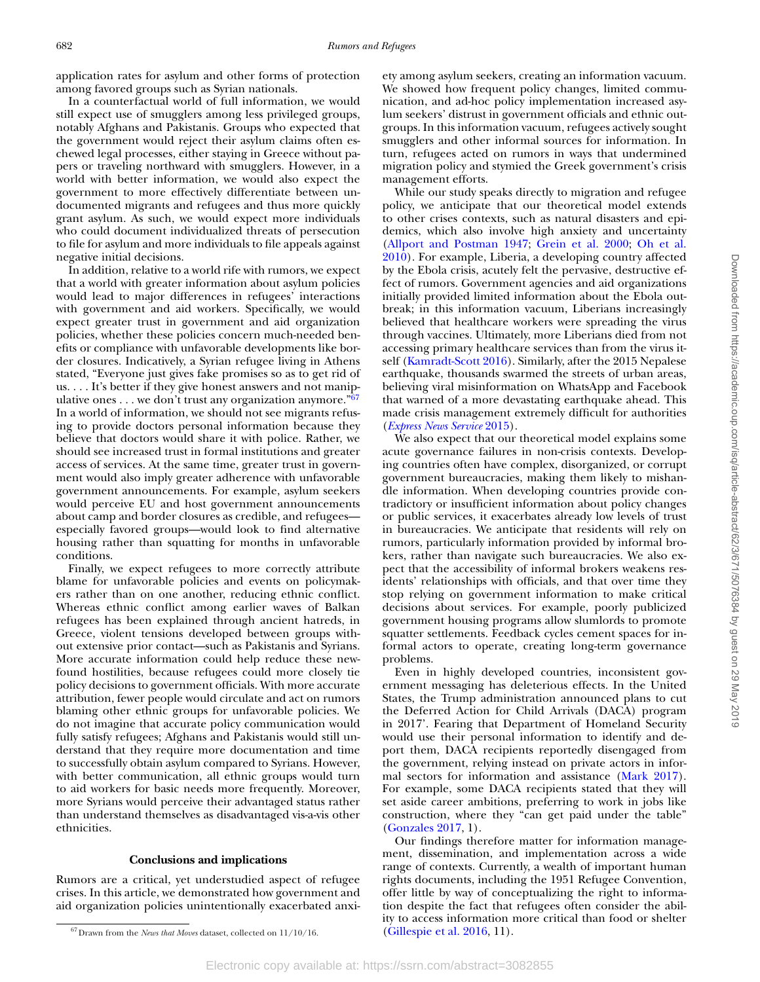application rates for asylum and other forms of protection among favored groups such as Syrian nationals.

In a counterfactual world of full information, we would still expect use of smugglers among less privileged groups, notably Afghans and Pakistanis. Groups who expected that the government would reject their asylum claims often eschewed legal processes, either staying in Greece without papers or traveling northward with smugglers. However, in a world with better information, we would also expect the government to more effectively differentiate between undocumented migrants and refugees and thus more quickly grant asylum. As such, we would expect more individuals who could document individualized threats of persecution to file for asylum and more individuals to file appeals against negative initial decisions.

In addition, relative to a world rife with rumors, we expect that a world with greater information about asylum policies would lead to major differences in refugees' interactions with government and aid workers. Specifically, we would expect greater trust in government and aid organization policies, whether these policies concern much-needed benefits or compliance with unfavorable developments like border closures. Indicatively, a Syrian refugee living in Athens stated, "Everyone just gives fake promises so as to get rid of us. . . . It's better if they give honest answers and not manipulative ones . . . we don't trust any organization anymore." $\overline{67}$ In a world of information, we should not see migrants refusing to provide doctors personal information because they believe that doctors would share it with police. Rather, we should see increased trust in formal institutions and greater access of services. At the same time, greater trust in government would also imply greater adherence with unfavorable government announcements. For example, asylum seekers would perceive EU and host government announcements about camp and border closures as credible, and refugees especially favored groups—would look to find alternative housing rather than squatting for months in unfavorable conditions.

Finally, we expect refugees to more correctly attribute blame for unfavorable policies and events on policymakers rather than on one another, reducing ethnic conflict. Whereas ethnic conflict among earlier waves of Balkan refugees has been explained through ancient hatreds, in Greece, violent tensions developed between groups without extensive prior contact—such as Pakistanis and Syrians. More accurate information could help reduce these newfound hostilities, because refugees could more closely tie policy decisions to government officials. With more accurate attribution, fewer people would circulate and act on rumors blaming other ethnic groups for unfavorable policies. We do not imagine that accurate policy communication would fully satisfy refugees; Afghans and Pakistanis would still understand that they require more documentation and time to successfully obtain asylum compared to Syrians. However, with better communication, all ethnic groups would turn to aid workers for basic needs more frequently. Moreover, more Syrians would perceive their advantaged status rather than understand themselves as disadvantaged vis-a-vis other ethnicities.

# **Conclusions and implications**

Rumors are a critical, yet understudied aspect of refugee crises. In this article, we demonstrated how government and aid organization policies unintentionally exacerbated anxiety among asylum seekers, creating an information vacuum. We showed how frequent policy changes, limited communication, and ad-hoc policy implementation increased asylum seekers' distrust in government officials and ethnic outgroups. In this information vacuum, refugees actively sought smugglers and other informal sources for information. In turn, refugees acted on rumors in ways that undermined migration policy and stymied the Greek government's crisis management efforts.

While our study speaks directly to migration and refugee policy, we anticipate that our theoretical model extends to other crises contexts, such as natural disasters and epidemics, which also involve high anxiety and uncertainty [\(Allport and Postman 1947;](#page-12-17) [Grein et al. 2000;](#page-13-40) Oh et al. [2010\). For example, Liberia, a developing country affected](#page-13-29) by the Ebola crisis, acutely felt the pervasive, destructive effect of rumors. Government agencies and aid organizations initially provided limited information about the Ebola outbreak; in this information vacuum, Liberians increasingly believed that healthcare workers were spreading the virus through vaccines. Ultimately, more Liberians died from not accessing primary healthcare services than from the virus itself [\(Kamradt-Scott 2016\)](#page-13-41). Similarly, after the 2015 Nepalese earthquake, thousands swarmed the streets of urban areas, believing viral misinformation on WhatsApp and Facebook that warned of a more devastating earthquake ahead. This made crisis management extremely difficult for authorities (*[Express News Service](#page-12-24)* 2015).

We also expect that our theoretical model explains some acute governance failures in non-crisis contexts. Developing countries often have complex, disorganized, or corrupt government bureaucracies, making them likely to mishandle information. When developing countries provide contradictory or insufficient information about policy changes or public services, it exacerbates already low levels of trust in bureaucracies. We anticipate that residents will rely on rumors, particularly information provided by informal brokers, rather than navigate such bureaucracies. We also expect that the accessibility of informal brokers weakens residents' relationships with officials, and that over time they stop relying on government information to make critical decisions about services. For example, poorly publicized government housing programs allow slumlords to promote squatter settlements. Feedback cycles cement spaces for informal actors to operate, creating long-term governance problems.

Even in highly developed countries, inconsistent government messaging has deleterious effects. In the United States, the Trump administration announced plans to cut the Deferred Action for Child Arrivals (DACA) program in 2017'. Fearing that Department of Homeland Security would use their personal information to identify and deport them, DACA recipients reportedly disengaged from the government, relying instead on private actors in informal sectors for information and assistance [\(Mark 2017\)](#page-13-42). For example, some DACA recipients stated that they will set aside career ambitions, preferring to work in jobs like construction, where they "can get paid under the table" [\(Gonzales 2017,](#page-13-43) 1).

Our findings therefore matter for information management, dissemination, and implementation across a wide range of contexts. Currently, a wealth of important human rights documents, including the 1951 Refugee Convention, offer little by way of conceptualizing the right to information despite the fact that refugees often consider the ability to access information more critical than food or shelter [\(Gillespie et al. 2016,](#page-12-25) 11).

<span id="page-11-0"></span><sup>67</sup>Drawn from the *News that Moves* dataset, collected on 11/10/16.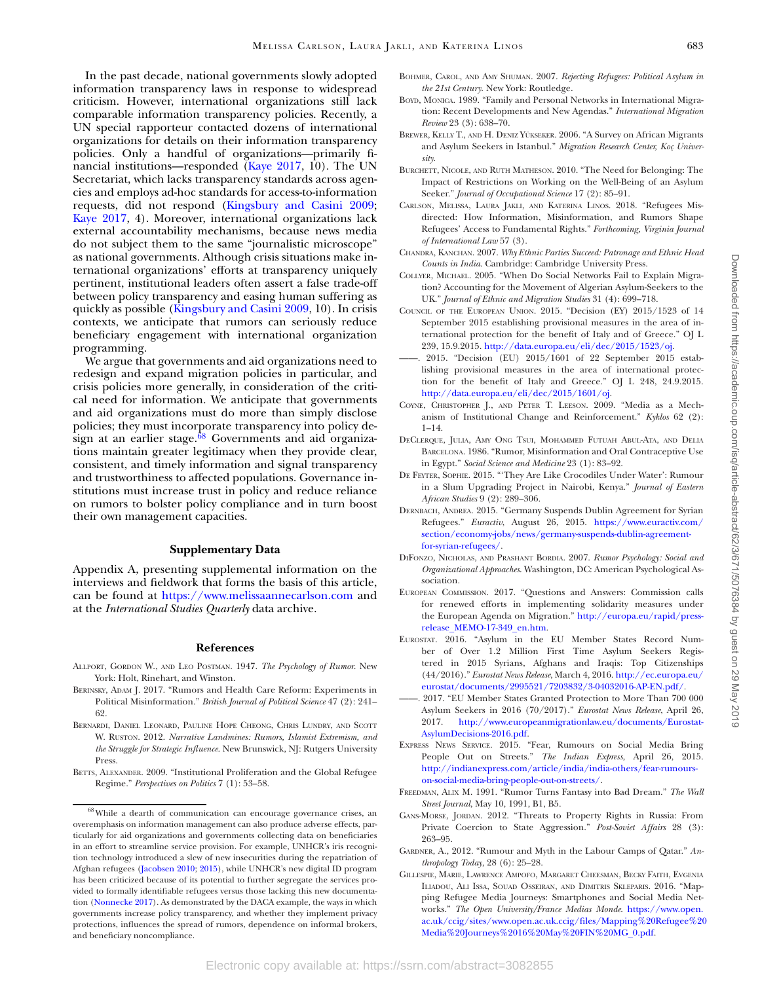In the past decade, national governments slowly adopted information transparency laws in response to widespread criticism. However, international organizations still lack comparable information transparency policies. Recently, a UN special rapporteur contacted dozens of international organizations for details on their information transparency policies. Only a handful of organizations—primarily financial institutions—responded [\(Kaye 2017,](#page-13-44) 10). The UN Secretariat, which lacks transparency standards across agencies and employs ad-hoc standards for access-to-information requests, did not respond [\(Kingsbury and Casini 2009;](#page-13-45) [Kaye 2017,](#page-13-44) 4). Moreover, international organizations lack external accountability mechanisms, because news media do not subject them to the same "journalistic microscope" as national governments. Although crisis situations make international organizations' efforts at transparency uniquely pertinent, institutional leaders often assert a false trade-off between policy transparency and easing human suffering as quickly as possible [\(Kingsbury and Casini 2009,](#page-13-45) 10). In crisis contexts, we anticipate that rumors can seriously reduce beneficiary engagement with international organization programming.

We argue that governments and aid organizations need to redesign and expand migration policies in particular, and crisis policies more generally, in consideration of the critical need for information. We anticipate that governments and aid organizations must do more than simply disclose policies; they must incorporate transparency into policy design at an earlier stage. $\overline{68}$  Governments and aid organizations maintain greater legitimacy when they provide clear, consistent, and timely information and signal transparency and trustworthiness to affected populations. Governance institutions must increase trust in policy and reduce reliance on rumors to bolster policy compliance and in turn boost their own management capacities.

## **Supplementary Data**

Appendix A, presenting supplemental information on the interviews and fieldwork that forms the basis of this article, can be found at <https://www.melissaannecarlson.com> and at the *International Studies Quarterly* data archive.

### **References**

- <span id="page-12-17"></span>ALLPORT, GORDON W., AND LEO POSTMAN. 1947. *The Psychology of Rumor*. New York: Holt, Rinehart, and Winston.
- <span id="page-12-4"></span>BERINSKY, ADAM J. 2017. "Rumors and Health Care Reform: Experiments in Political Misinformation." *British Journal of Political Science* 47 (2): 241– 62.
- <span id="page-12-15"></span>BERNARDI, DANIEL LEONARD, PAULINE HOPE CHEONG, CHRIS LUNDRY, AND SCOTT W. RUSTON. 2012. *Narrative Landmines: Rumors, Islamist Extremism, and the Struggle for Strategic Influence*. New Brunswick, NJ: Rutgers University Press.
- <span id="page-12-10"></span>BETTS, ALEXANDER. 2009. "Institutional Proliferation and the Global Refugee Regime." *Perspectives on Politics* 7 (1): 53–58.
- <span id="page-12-8"></span>BOHMER, CAROL, AND AMY SHUMAN. 2007. *Rejecting Refugees: Political Asylum in the 21st Century*. New York: Routledge.
- <span id="page-12-13"></span>BOYD, MONICA. 1989. "Family and Personal Networks in International Migration: Recent Developments and New Agendas." *International Migration Review* 23 (3): 638–70.
- <span id="page-12-11"></span>BREWER, KELLY T., AND H. DENIZ YÜKSEKER. 2006. "A Survey on African Migrants and Asylum Seekers in Istanbul." *Migration Research Center, Koç University*.
- <span id="page-12-9"></span>BURCHETT, NICOLE, AND RUTH MATHESON. 2010. "The Need for Belonging: The Impact of Restrictions on Working on the Well-Being of an Asylum Seeker." *Journal of Occupational Science* 17 (2): 85–91.
- <span id="page-12-16"></span>CARLSON, MELISSA, LAURA JAKLI, AND KATERINA LINOS. 2018. "Refugees Misdirected: How Information, Misinformation, and Rumors Shape Refugees' Access to Fundamental Rights." *Forthcoming, Virginia Journal of International Law* 57 (3).
- <span id="page-12-19"></span>CHANDRA, KANCHAN. 2007. *Why Ethnic Parties Succeed: Patronage and Ethnic Head Counts in India*. Cambridge: Cambridge University Press.
- <span id="page-12-12"></span>COLLYER, MICHAEL. 2005. "When Do Social Networks Fail to Explain Migration? Accounting for the Movement of Algerian Asylum-Seekers to the UK." *Journal of Ethnic and Migration Studies* 31 (4): 699–718.
- <span id="page-12-1"></span>COUNCIL OF THE EUROPEAN UNION. 2015. "Decision (EY) 2015/1523 of 14 September 2015 establishing provisional measures in the area of international protection for the benefit of Italy and of Greece." OJ L 239, 15.9.2015. [http://data.europa.eu/eli/dec/2015/1523/oj.](http://data.europa.eu/eli/dec/2015/1523/oj)
- <span id="page-12-2"></span>. 2015. "Decision (EU) 2015/1601 of 22 September 2015 establishing provisional measures in the area of international protection for the benefit of Italy and Greece." OJ L 248, 24.9.2015. [http://data.europa.eu/eli/dec/2015/1601/oj.](http://data.europa.eu/eli/dec/2015/1601/oj)
- <span id="page-12-6"></span>COYNE, CHRISTOPHER J., AND PETER T. LEESON. 2009. "Media as a Mechanism of Institutional Change and Reinforcement." *Kyklos* 62 (2): 1–14.
- <span id="page-12-20"></span>DECLERQUE, JULIA, AMY ONG TSUI, MOHAMMED FUTUAH ABUL-ATA, AND DELIA BARCELONA. 1986. "Rumor, Misinformation and Oral Contraceptive Use in Egypt." *Social Science and Medicine* 23 (1): 83–92.
- <span id="page-12-18"></span>DE FEYTER, SOPHIE. 2015. "'They Are Like Crocodiles Under Water': Rumour in a Slum Upgrading Project in Nairobi, Kenya." *Journal of Eastern African Studies* 9 (2): 289–306.
- <span id="page-12-14"></span>DERNBACH, ANDREA. 2015. "Germany Suspends Dublin Agreement for Syrian Refugees." *Euractiv*, August 26, 2015. https://www.euractiv.com/ [section/economy-jobs/news/germany-suspends-dublin-agreement](https://www.euractiv.com/section/economy-jobs/news/germany-suspends-dublin-agreement-for-syrian-refugees/)for-syrian-refugees/.
- <span id="page-12-5"></span>DIFONZO, NICHOLAS, AND PRASHANT BORDIA. 2007. *Rumor Psychology: Social and Organizational Approaches*. Washington, DC: American Psychological Association.
- <span id="page-12-3"></span>EUROPEAN COMMISSION. 2017. "Questions and Answers: Commission calls for renewed efforts in implementing solidarity measures under [the European Agenda on Migration."](http://europa.eu/rapid/press-release_MEMO-17-349_en.htm) http://europa.eu/rapid/pressrelease\_MEMO-17-349\_en.htm.
- <span id="page-12-0"></span>EUROSTAT. 2016. "Asylum in the EU Member States Record Number of Over 1.2 Million First Time Asylum Seekers Registered in 2015 Syrians, Afghans and Iraqis: Top Citizenships (44/2016)." *Eurostat News Release*, March 4, 2016. http://ec.europa.eu/ [eurostat/documents/2995521/7203832/3-04032016-AP-EN.pdf/.](http://ec.europa.eu/eurostat/documents/2995521/7203832/3-04032016-AP-EN.pdf/)
- <span id="page-12-23"></span>——. 2017. "EU Member States Granted Protection to More Than 700 000 Asylum Seekers in 2016 (70/2017)." *Eurostat News Release*, April 26, 2017. [http://www.europeanmigrationlaw.eu/documents/Eurostat-](http://www.europeanmigrationlaw.eu/documents/Eurostat-AsylumDecisions-2016.pdf)AsylumDecisions-2016.pdf.
- <span id="page-12-24"></span>EXPRESS NEWS SERVICE. 2015. "Fear, Rumours on Social Media Bring People Out on Streets." *The Indian Express*, April 26, 2015. [http://indianexpress.com/article/india/india-others/fear-rumours](http://indianexpress.com/article/india/india-others/fear-rumours-on-social-media-bring-people-out-on-streets/)on-social-media-bring-people-out-on-streets/.
- <span id="page-12-21"></span>FREEDMAN, ALIX M. 1991. "Rumor Turns Fantasy into Bad Dream." *The Wall Street Journal*, May 10, 1991, B1, B5.
- <span id="page-12-7"></span>GANS-MORSE, JORDAN. 2012. "Threats to Property Rights in Russia: From Private Coercion to State Aggression." *Post-Soviet Affairs* 28 (3): 263–95.
- <span id="page-12-22"></span>GARDNER, A., 2012. "Rumour and Myth in the Labour Camps of Qatar." *Anthropology Today*, 28 (6): 25–28.
- <span id="page-12-25"></span>GILLESPIE, MARIE, LAWRENCE AMPOFO, MARGARET CHEESMAN, BECKY FAITH, EVGENIA ILIADOU, ALI ISSA, SOUAD OSSEIRAN, AND DIMITRIS SKLEPARIS. 2016. "Mapping Refugee Media Journeys: Smartphones and Social Media Networks." *The Open University/France Medias Monde*. https://www.open. [ac.uk/ccig/sites/www.open.ac.uk.ccig/files/Mapping%20Refugee%20](https://www.open.ac.uk/ccig/sites/www.open.ac.uk.ccig/files/Mapping%20Refugee%20Media%20Journeys%2016%20May%20FIN%20MG_0.pdf) Media%20Journeys%2016%20May%20FIN%20MG\_0.pdf.

<span id="page-12-26"></span><sup>68</sup>While a dearth of communication can encourage governance crises, an overemphasis on information management can also produce adverse effects, particularly for aid organizations and governments collecting data on beneficiaries in an effort to streamline service provision. For example, UNHCR's iris recognition technology introduced a slew of new insecurities during the repatriation of Afghan refugees [\(Jacobsen 2010;](#page-13-46) [2015\)](#page-13-47), while UNHCR's new digital ID program has been criticized because of its potential to further segregate the services provided to formally identifiable refugees versus those lacking this new documentation [\(Nonnecke 2017\)](#page-13-38). As demonstrated by the DACA example, the ways in which governments increase policy transparency, and whether they implement privacy protections, influences the spread of rumors, dependence on informal brokers, and beneficiary noncompliance.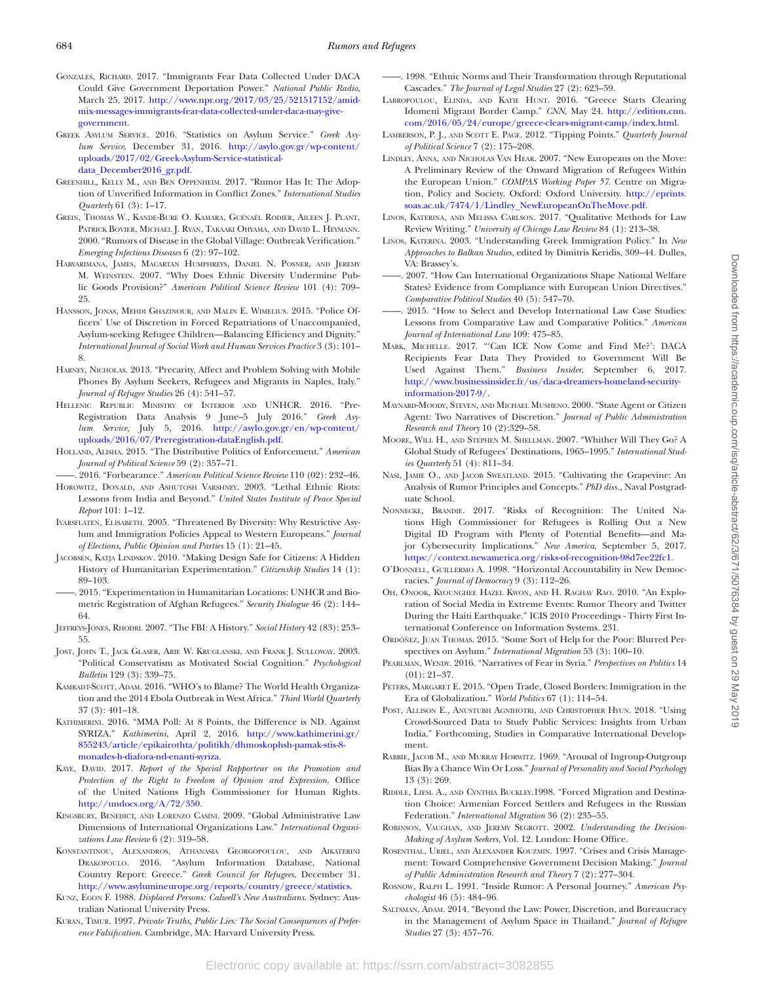- <span id="page-13-43"></span>GONZALES, RICHARD. 2017. "Immigrants Fear Data Collected Under DACA Could Give Government Deportation Power." *National Public Radio*, March 25, 2017. http://www.npr.org/2017/03/25/521517152/amid[mix-messages-immigrants-fear-data-collected-under-daca-may-give](http://www.npr.org/2017/03/25/521517152/amid-mix-messages-immigrants-fear-data-collected-under-daca-may-give-government)government.
- <span id="page-13-4"></span>GREEK ASYLUM SERVICE. 2016. "Statistics on Asylum Service." *Greek Asylum Service*, December 31, 2016. http://asylo.gov.gr/wp-content/ [uploads/2017/02/Greek-Asylum-Service-statistical](http://asylo.gov.gr/wp-content/uploads/2017/02/Greek-Asylum-Service-statistical-data_December2016_gr.pdf)data\_December2016\_gr.pdf.
- <span id="page-13-9"></span>GREENHILL, KELLY M., AND BEN OPPENHEIM. 2017. "Rumor Has It: The Adoption of Unverified Information in Conflict Zones." *International Studies Quarterly* 61 (3): 1–17.
- <span id="page-13-40"></span>GREIN, THOMAS W., KANDE-BURE O. KAMARA, GUÉNAËL RODIER, AILEEN J. PLANT, PATRICK BOVIER, MICHAEL J. RYAN, TAKAAKI OHYAMA, AND DAVID L. HEYMANN. 2000. "Rumors of Disease in the Global Village: Outbreak Verification." *Emerging Infectious Diseases* 6 (2): 97–102.
- <span id="page-13-30"></span>HABYARIMANA, JAMES, MACARTAN HUMPHREYS, DANIEL N. POSNER, AND JEREMY M. WEINSTEIN. 2007. "Why Does Ethnic Diversity Undermine Public Goods Provision?" *American Political Science Review* 101 (4): 709– 25.
- <span id="page-13-16"></span>HANSSON, JONAS, MEHDI GHAZINOUR, AND MALIN E. WIMELIUS. 2015. "Police Officers' Use of Discretion in Forced Repatriations of Unaccompanied, Asylum-seeking Refugee Children—Balancing Efficiency and Dignity." *International Journal of Social Work and Human Services Practice* 3 (3): 101– 8.
- <span id="page-13-33"></span>HARNEY, NICHOLAS. 2013. "Precarity, Affect and Problem Solving with Mobile Phones By Asylum Seekers, Refugees and Migrants in Naples, Italy." *Journal of Refugee Studies* 26 (4): 541–57.
- <span id="page-13-37"></span>HELLENIC REPUBLIC MINISTRY OF INTERIOR AND UNHCR. 2016. "Pre-Registration Data Analysis 9 June–5 July 2016." *Greek Asylum Service*, July 5, 2016. http://asylo.gov.gr/en/wp-content/ [uploads/2016/07/Preregistration-dataEnglish.pdf.](http://asylo.gov.gr/en/wp-content/uploads/2016/07/Preregistration-dataEnglish.pdf)
- <span id="page-13-13"></span>HOLLAND, ALISHA. 2015. "The Distributive Politics of Enforcement." *American Journal of Political Science* 59 (2): 357–71.

<span id="page-13-11"></span>——. 2016. "Forbearance." *American Political Science Review* 110 (02): 232–46.

- <span id="page-13-10"></span>HOROWITZ, DONALD, AND ASHUTOSH VARSHNEY. 2003. "Lethal Ethnic Riots: Lessons from India and Beyond." *United States Institute of Peace Special Report* 101: 1–12.
- <span id="page-13-23"></span>IVARSFLATEN, ELISABETH. 2005. "Threatened By Diversity: Why Restrictive Asylum and Immigration Policies Appeal to Western Europeans." *Journal of Elections, Public Opinion and Parties* 15 (1): 21–45.
- <span id="page-13-46"></span>JACOBSEN, KATJA LINDSKOV. 2010. "Making Design Safe for Citizens: A Hidden History of Humanitarian Experimentation." *Citizenship Studies* 14 (1): 89–103.
- <span id="page-13-47"></span>2015. "Experimentation in Humanitarian Locations: UNHCR and Biometric Registration of Afghan Refugees." *Security Dialogue* 46 (2): 144– 64.
- <span id="page-13-22"></span>JEFFREYS-JONES, RHODRI. 2007. "The FBI: A History." *Social History* 42 (83): 253– 55.
- <span id="page-13-28"></span>JOST, JOHN T., JACK GLASER, ARIE W. KRUGLANSKI, AND FRANK J. SULLOWAY. 2003. "Political Conservatism as Motivated Social Cognition." *Psychological Bulletin* 129 (3): 339–75.
- <span id="page-13-41"></span>KAMRADT-SCOTT, ADAM. 2016. "WHO's to Blame? The World Health Organization and the 2014 Ebola Outbreak in West Africa." *Third World Quarterly* 37 (3): 401–18.
- <span id="page-13-14"></span>KATHIMERINI. 2016. "MMA Poll: At 8 Points, the Difference is ND. Against SYRIZA." *Kathimerini*, April 2, 2016. http://www.kathimerini.gr/ [855243/article/epikairothta/politikh/dhmoskophsh-pamak-stis-8](http://www.kathimerini.gr/855243/article/epikairothta/politikh/dhmoskophsh-pamak-stis-8-monades-h-diafora-nd-enanti-syriza) monades-h-diafora-nd-enanti-syriza.
- <span id="page-13-44"></span>KAYE, DAVID. 2017. *Report of the Special Rapporteur on the Promotion and Protection of the Right to Freedom of Opinion and Expression*. Office of the United Nations High Commissioner for Human Rights. [http://undocs.org/A/72/350.](http://undocs.org/A/72/350)
- <span id="page-13-45"></span>KINGSBURY, BENEDICT, AND LORENZO CASINI. 2009. "Global Administrative Law Dimensions of International Organizations Law." *International Organizations Law Review* 6 (2): 319–58.
- <span id="page-13-5"></span>KONSTANTINOU, ALEXANDROS, ATHANASIA GEORGOPOULOU, AND AIKATERINI DRAKOPOULO. 2016. "Asylum Information Database, National Country Report: Greece." *Greek Council for Refugees*, December 31. [http://www.asylumineurope.org/reports/country/greece/statistics.](http://www.asylumineurope.org/reports/country/greece/statistics)
- <span id="page-13-18"></span>KUNZ, EGON F. 1988. *Displaced Persons: Calwell's New Australians*. Sydney: Australian National University Press.
- <span id="page-13-7"></span>KURAN, TIMUR. 1997. *Private Truths, Public Lies: The Social Consequences of Preference Falsification*. Cambridge, MA: Harvard University Press.
- <span id="page-13-8"></span>——. 1998. "Ethnic Norms and Their Transformation through Reputational Cascades." *The Journal of Legal Studies* 27 (2): 623–59.
- <span id="page-13-0"></span>LABROPOULOU, ELINDA, AND KATIE HUNT. 2016. "Greece Starts Clearing Idomeni Migrant Border Camp." *CNN*, May 24. http://edition.cnn. [com/2016/05/24/europe/greece-clears-migrant-camp/index.html.](http://edition.cnn.com/2016/05/24/europe/greece-clears-migrant-camp/index.html)
- <span id="page-13-6"></span>LAMBERSON, P. J., AND SCOTT E. PAGE. 2012. "Tipping Points." *Quarterly Journal of Political Science* 7 (2): 175–208.
- <span id="page-13-19"></span>LINDLEY, ANNA, AND NICHOLAS VAN HEAR. 2007. "New Europeans on the Move: A Preliminary Review of the Onward Migration of Refugees Within the European Union." *COMPAS Working Paper 57*. Centre on Migra[tion, Policy and Society. Oxford: Oxford University.](http://eprints.soas.ac.uk/7474/1/Lindley7NewEuropeanOnTheMove.pdf) http://eprints. soas.ac.uk/7474/1/Lindley\_NewEuropeanOnTheMove.pdf.
- <span id="page-13-35"></span>LINOS, KATERINA, AND MELISSA CARLSON. 2017. "Qualitative Methods for Law Review Writing." *University of Chicago Law Review* 84 (1): 213–38.
- <span id="page-13-24"></span>LINOS, KATERINA. 2003. "Understanding Greek Immigration Policy." In *New Approaches to Balkan Studies*, edited by Dimitris Keridis, 309–44. Dulles, VA: Brassey's.
- <span id="page-13-39"></span>2007. "How Can International Organizations Shape National Welfare States? Evidence from Compliance with European Union Directives." *Comparative Political Studies* 40 (5): 547–70.
- <span id="page-13-36"></span>-. 2015. "How to Select and Develop International Law Case Studies: Lessons from Comparative Law and Comparative Politics." *American Journal of International Law* 109: 475–85.
- <span id="page-13-42"></span>MARK, MICHELLE. 2017. "'Can ICE Now Come and Find Me?': DACA Recipients Fear Data They Provided to Government Will Be Used Against Them." *Business Insider*, September 6, 2017. [http://www.businessinsider.fr/us/daca-dreamers-homeland-security](http://www.businessinsider.fr/us/daca-dreamers-homeland-security-information-2017-9/)information-2017-9/.
- <span id="page-13-26"></span>MAYNARD-MOODY, STEVEN, AND MICHAEL MUSHENO. 2000. "State Agent or Citizen Agent: Two Narratives of Discretion." *Journal of Public Administration Research and Theory* 10 (2):329–58.
- <span id="page-13-2"></span>MOORE, WILL H., AND STEPHEN M. SHELLMAN. 2007. "Whither Will They Go? A Global Study of Refugees' Destinations, 1965–1995." *International Studies Quarterly* 51 (4): 811–34.
- <span id="page-13-21"></span>NASI, JAMIE O., AND JACOB SWEATLAND. 2015. "Cultivating the Grapevine: An Analysis of Rumor Principles and Concepts." *PhD diss.,* Naval Postgraduate School.
- <span id="page-13-38"></span>NONNECKE, BRANDIE. 2017. "Risks of Recognition: The United Nations High Commissioner for Refugees is Rolling Out a New Digital ID Program with Plenty of Potential Benefits—and Major Cybersecurity Implications." *New America*, September 5, 2017. [https://context.newamerica.org/risks-of-recognition-98d7ee22fc1.](https://context.newamerica.org/risks-of-recognition-98d7ee22fc1)
- <span id="page-13-12"></span>O'DONNELL, GUILLERMO A. 1998. "Horizontal Accountability in New Democracies." *Journal of Democracy* 9 (3): 112–26.
- <span id="page-13-29"></span>OH, ONOOK, KYOUNGHEE HAZEL KWON, AND H. RAGHAV RAO. 2010. "An Exploration of Social Media in Extreme Events: Rumor Theory and Twitter During the Haiti Earthquake." ICIS 2010 Proceedings - Thirty First International Conference on Information Systems. 231.
- <span id="page-13-32"></span>ORDÓÑEZ, JUAN THOMAS. 2015. "Some Sort of Help for the Poor: Blurred Perspectives on Asylum." *International Migration* 53 (3): 100–10.
- <span id="page-13-27"></span>PEARLMAN, WENDY. 2016. "Narratives of Fear in Syria." *Perspectives on Politics* 14 (01): 21–37.
- <span id="page-13-20"></span>PETERS, MARGARET E. 2015. "Open Trade, Closed Borders: Immigration in the Era of Globalization." *World Politics* 67 (1): 114–54.
- <span id="page-13-17"></span>POST, ALLISON E., ANUSTUBH AGNIHOTRI, AND CHRISTOPHER HYUN. 2018. "Using Crowd-Sourced Data to Study Public Services: Insights from Urban India." Forthcoming, Studies in Comparative International Development.
- <span id="page-13-34"></span>RABBIE, JACOB M., AND MURRAY HORWITZ. 1969. "Arousal of Ingroup-Outgroup Bias By a Chance Win Or Loss." *Journal of Personality and Social Psychology* 13 (3): 269.
- <span id="page-13-1"></span>RIDDLE, LIESL A., AND CYNTHIA BUCKLEY.1998. "Forced Migration and Destination Choice: Armenian Forced Settlers and Refugees in the Russian Federation." *International Migration* 36 (2): 235–55.
- <span id="page-13-3"></span>ROBINSON, VAUGHAN, AND JEREMY SEGROTT. 2002. *Understanding the Decision-Making of Asylum Seekers*, Vol. 12. London: Home Office.
- <span id="page-13-25"></span>ROSENTHAL, URIEL, AND ALEXANDER KOUZMIN. 1997. "Crises and Crisis Management: Toward Comprehensive Government Decision Making." *Journal of Public Administration Research and Theory* 7 (2): 277–304.
- <span id="page-13-31"></span>ROSNOW, RALPH L. 1991. "Inside Rumor: A Personal Journey." *American Psychologist* 46 (5): 484–96.
- <span id="page-13-15"></span>SALTSMAN, ADAM. 2014. "Beyond the Law: Power, Discretion, and Bureaucracy in the Management of Asylum Space in Thailand." *Journal of Refugee Studies* 27 (3): 457–76.